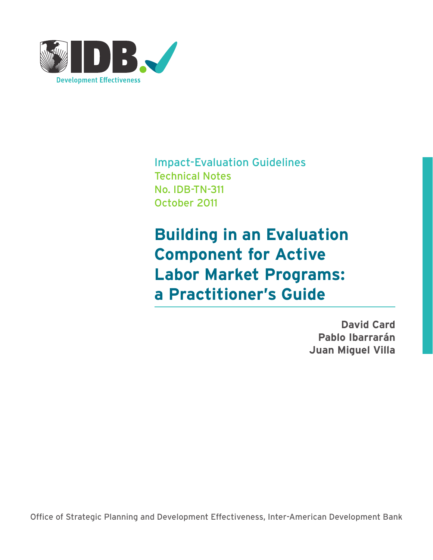

Impact-Evaluation Guidelines Technical Notes No. IDB-TN-311 October 2011

**Building in an Evaluation Component for Active Labor Market Programs: a Practitioner's Guide**

> **David Card Pablo Ibarrarán Juan Miguel Villa**

Office of Strategic Planning and Development Effectiveness, Inter-American Development Bank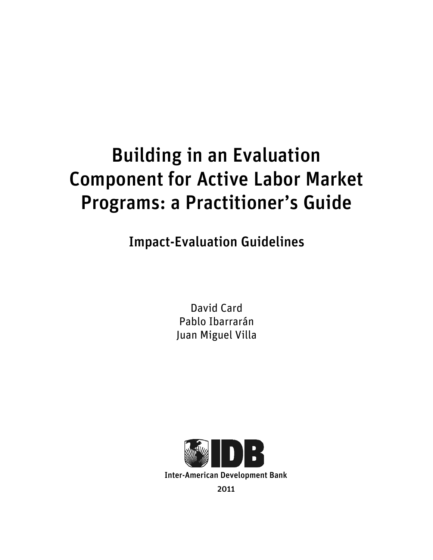# Building in an Evaluation Component for Active Labor Market Programs: a Practitioner's Guide

Impact-Evaluation Guidelines

David Card Pablo Ibarrarán Juan Miguel Villa

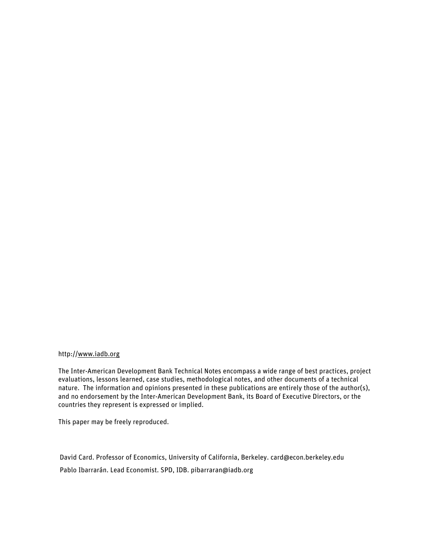# http://www.iadb.org

The Inter-American Development Bank Technical Notes encompass a wide range of best practices, project evaluations, lessons learned, case studies, methodological notes, and other documents of a technical nature. The information and opinions presented in these publications are entirely those of the author(s), and no endorsement by the Inter-American Development Bank, its Board of Executive Directors, or the countries they represent is expressed or implied.

This paper may be freely reproduced.

David Card. Professor of Economics, University of California, Berkeley. card@econ.berkeley.edu Pablo Ibarrarán. Lead Economist. SPD, IDB. pibarraran@iadb.org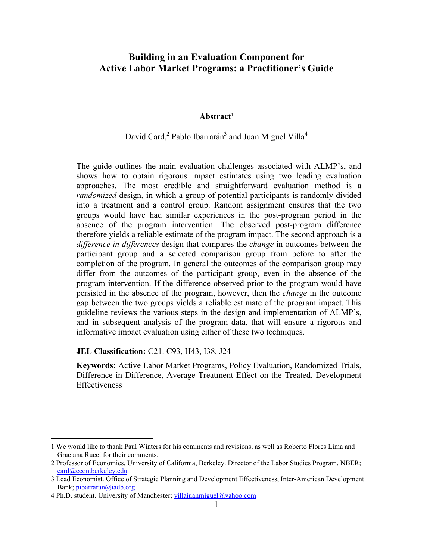# **Building in an Evaluation Component for Active Labor Market Programs: a Practitioner's Guide**

#### **Abstract 1**

# David Card,<sup>2</sup> Pablo Ibarrarán<sup>3</sup> and Juan Miguel Villa<sup>4</sup>

The guide outlines the main evaluation challenges associated with ALMP's, and shows how to obtain rigorous impact estimates using two leading evaluation approaches. The most credible and straightforward evaluation method is a *randomized* design, in which a group of potential participants is randomly divided into a treatment and a control group. Random assignment ensures that the two groups would have had similar experiences in the post-program period in the absence of the program intervention. The observed post-program difference therefore yields a reliable estimate of the program impact. The second approach is a *difference in differences* design that compares the *change* in outcomes between the participant group and a selected comparison group from before to after the completion of the program. In general the outcomes of the comparison group may differ from the outcomes of the participant group, even in the absence of the program intervention. If the difference observed prior to the program would have persisted in the absence of the program, however, then the *change* in the outcome gap between the two groups yields a reliable estimate of the program impact. This guideline reviews the various steps in the design and implementation of ALMP's, and in subsequent analysis of the program data, that will ensure a rigorous and informative impact evaluation using either of these two techniques.

### **JEL Classification:** C21. C93, H43, I38, J24

**Keywords:** Active Labor Market Programs, Policy Evaluation, Randomized Trials, Difference in Difference, Average Treatment Effect on the Treated, Development Effectiveness

 <sup>1</sup> We would like to thank Paul Winters for his comments and revisions, as well as Roberto Flores Lima and Graciana Rucci for their comments.

<sup>2</sup> Professor of Economics, University of California, Berkeley. Director of the Labor Studies Program, NBER; card@econ.berkeley.edu

<sup>3</sup> Lead Economist. Office of Strategic Planning and Development Effectiveness, Inter-American Development Bank; pibarraran@iadb.org

<sup>4</sup> Ph.D. student. University of Manchester; villajuanmiguel@yahoo.com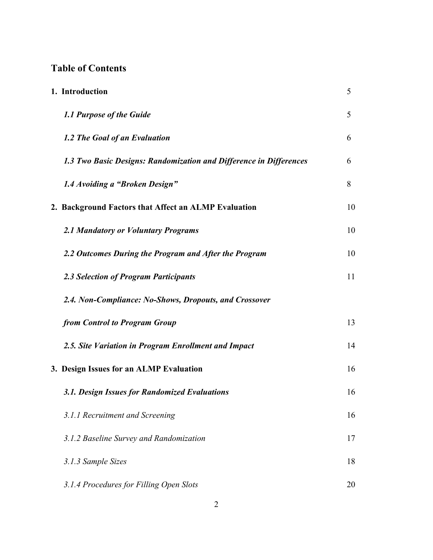# **Table of Contents**

| 1. Introduction                                                    | 5  |
|--------------------------------------------------------------------|----|
| 1.1 Purpose of the Guide                                           | 5  |
| 1.2 The Goal of an Evaluation                                      | 6  |
| 1.3 Two Basic Designs: Randomization and Difference in Differences | 6  |
| 1.4 Avoiding a "Broken Design"                                     | 8  |
| 2. Background Factors that Affect an ALMP Evaluation               | 10 |
| 2.1 Mandatory or Voluntary Programs                                | 10 |
| 2.2 Outcomes During the Program and After the Program              | 10 |
| 2.3 Selection of Program Participants                              | 11 |
| 2.4. Non-Compliance: No-Shows, Dropouts, and Crossover             |    |
| from Control to Program Group                                      | 13 |
| 2.5. Site Variation in Program Enrollment and Impact               | 14 |
| 3. Design Issues for an ALMP Evaluation                            | 16 |
| 3.1. Design Issues for Randomized Evaluations                      | 16 |
| 3.1.1 Recruitment and Screening                                    | 16 |
| 3.1.2 Baseline Survey and Randomization                            | 17 |
| 3.1.3 Sample Sizes                                                 | 18 |
| 3.1.4 Procedures for Filling Open Slots                            | 20 |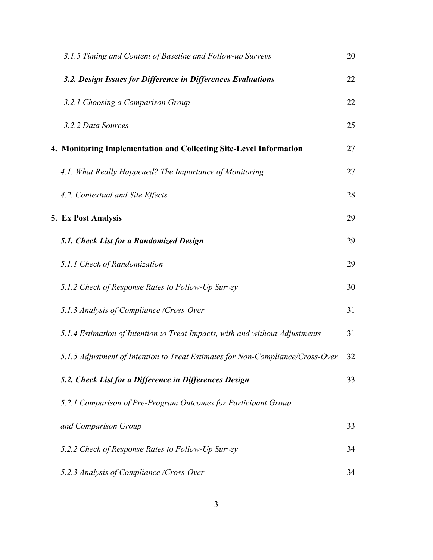| 3.1.5 Timing and Content of Baseline and Follow-up Surveys                     | 20 |
|--------------------------------------------------------------------------------|----|
| 3.2. Design Issues for Difference in Differences Evaluations                   | 22 |
| 3.2.1 Choosing a Comparison Group                                              | 22 |
| 3.2.2 Data Sources                                                             | 25 |
| 4. Monitoring Implementation and Collecting Site-Level Information             | 27 |
| 4.1. What Really Happened? The Importance of Monitoring                        | 27 |
| 4.2. Contextual and Site Effects                                               | 28 |
| 5. Ex Post Analysis                                                            | 29 |
| 5.1. Check List for a Randomized Design                                        | 29 |
| 5.1.1 Check of Randomization                                                   | 29 |
| 5.1.2 Check of Response Rates to Follow-Up Survey                              | 30 |
| 5.1.3 Analysis of Compliance /Cross-Over                                       | 31 |
| 5.1.4 Estimation of Intention to Treat Impacts, with and without Adjustments   | 31 |
| 5.1.5 Adjustment of Intention to Treat Estimates for Non-Compliance/Cross-Over | 32 |
| 5.2. Check List for a Difference in Differences Design                         | 33 |
| 5.2.1 Comparison of Pre-Program Outcomes for Participant Group                 |    |
| and Comparison Group                                                           | 33 |
| 5.2.2 Check of Response Rates to Follow-Up Survey                              | 34 |
| 5.2.3 Analysis of Compliance /Cross-Over                                       | 34 |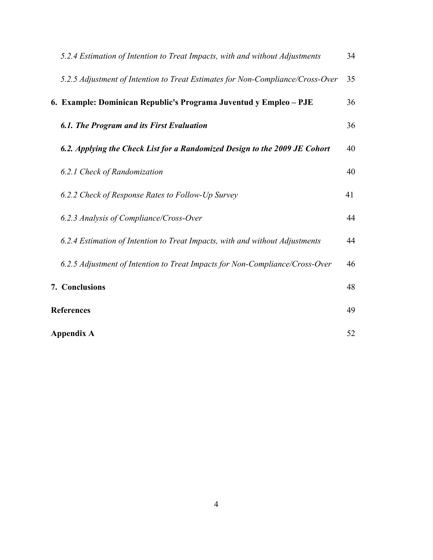| 5.2.4 Estimation of Intention to Treat Impacts, with and without Adjustments   | 34 |
|--------------------------------------------------------------------------------|----|
| 5.2.5 Adjustment of Intention to Treat Estimates for Non-Compliance/Cross-Over | 35 |
| 6. Example: Dominican Republic's Programa Juventud y Empleo - PJE              | 36 |
| 6.1. The Program and its First Evaluation                                      | 36 |
| 6.2. Applying the Check List for a Randomized Design to the 2009 JE Cohort     | 40 |
| 6.2.1 Check of Randomization                                                   | 40 |
| 6.2.2 Check of Response Rates to Follow-Up Survey                              | 41 |
| 6.2.3 Analysis of Compliance/Cross-Over                                        | 44 |
| 6.2.4 Estimation of Intention to Treat Impacts, with and without Adjustments   | 44 |
| 6.2.5 Adjustment of Intention to Treat Impacts for Non-Compliance/Cross-Over   | 46 |
| 7. Conclusions                                                                 | 48 |
| <b>References</b>                                                              | 49 |
| <b>Appendix A</b>                                                              | 52 |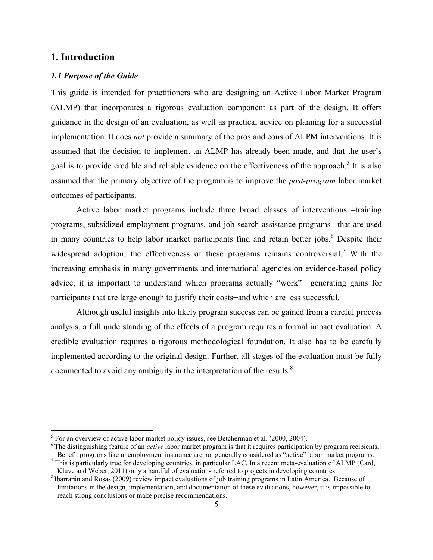# **1. Introduction**

### *1.1 Purpose of the Guide*

This guide is intended for practitioners who are designing an Active Labor Market Program (ALMP) that incorporates a rigorous evaluation component as part of the design. It offers guidance in the design of an evaluation, as well as practical advice on planning for a successful implementation. It does *not* provide a summary of the pros and cons of ALPM interventions. It is assumed that the decision to implement an ALMP has already been made, and that the user's goal is to provide credible and reliable evidence on the effectiveness of the approach.<sup>5</sup> It is also assumed that the primary objective of the program is to improve the *post-program* labor market outcomes of participants.

Active labor market programs include three broad classes of interventions –training programs, subsidized employment programs, and job search assistance programs– that are used in many countries to help labor market participants find and retain better jobs. 6 Despite their widespread adoption, the effectiveness of these programs remains controversial.<sup>7</sup> With the increasing emphasis in many governments and international agencies on evidence-based policy advice, it is important to understand which programs actually "work" −generating gains for participants that are large enough to justify their costs−and which are less successful.

Although useful insights into likely program success can be gained from a careful process analysis, a full understanding of the effects of a program requires a formal impact evaluation. A credible evaluation requires a rigorous methodological foundation. It also has to be carefully implemented according to the original design. Further, all stages of the evaluation must be fully documented to avoid any ambiguity in the interpretation of the results.<sup>8</sup>

 $\frac{1}{5}$  $5$  For an overview of active labor market policy issues, see Betcherman et al. (2000, 2004).

<sup>6</sup> The distinguishing feature of an *active* labor market program is that it requires participation by program recipients. Benefit programs like unemployment insurance are not generally considered as "active" labor market programs.

 $^7$  This is particularly true for developing countries, in particular LAC. In a recent meta-evaluation of ALMP (Card, Kluve and Weber, 2011) only a handful of evaluations referred to projects in developing countries. <sup>8</sup> Ibarrarán and Rosas (2009) review impact evaluations of job training programs in Latin America. Because of

limitations in the design, implementation, and documentation of these evaluations, however, it is impossible to reach strong conclusions or make precise recommendations.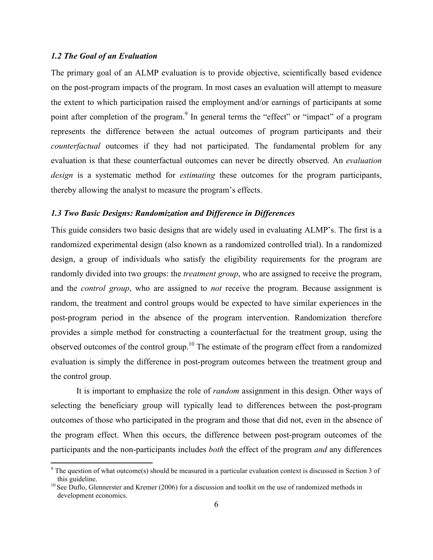# *1.2 The Goal of an Evaluation*

The primary goal of an ALMP evaluation is to provide objective, scientifically based evidence on the post-program impacts of the program. In most cases an evaluation will attempt to measure the extent to which participation raised the employment and/or earnings of participants at some point after completion of the program.<sup>9</sup> In general terms the "effect" or "impact" of a program represents the difference between the actual outcomes of program participants and their *counterfactual* outcomes if they had not participated. The fundamental problem for any evaluation is that these counterfactual outcomes can never be directly observed. An *evaluation design* is a systematic method for *estimating* these outcomes for the program participants, thereby allowing the analyst to measure the program's effects.

#### *1.3 Two Basic Designs: Randomization and Difference in Differences*

This guide considers two basic designs that are widely used in evaluating ALMP's. The first is a randomized experimental design (also known as a randomized controlled trial). In a randomized design, a group of individuals who satisfy the eligibility requirements for the program are randomly divided into two groups: the *treatment group*, who are assigned to receive the program, and the *control group*, who are assigned to *not* receive the program. Because assignment is random, the treatment and control groups would be expected to have similar experiences in the post-program period in the absence of the program intervention. Randomization therefore provides a simple method for constructing a counterfactual for the treatment group, using the observed outcomes of the control group.<sup>10</sup> The estimate of the program effect from a randomized evaluation is simply the difference in post-program outcomes between the treatment group and the control group.

It is important to emphasize the role of *random* assignment in this design. Other ways of selecting the beneficiary group will typically lead to differences between the post-program outcomes of those who participated in the program and those that did not, even in the absence of the program effect. When this occurs, the difference between post-program outcomes of the participants and the non-participants includes *both* the effect of the program *and* any differences

<sup>-&</sup>lt;br>9 <sup>9</sup> The question of what outcome(s) should be measured in a particular evaluation context is discussed in Section 3 of this guideline.

<sup>&</sup>lt;sup>10</sup> See Duflo, Glennerster and Kremer (2006) for a discussion and toolkit on the use of randomized methods in development economics.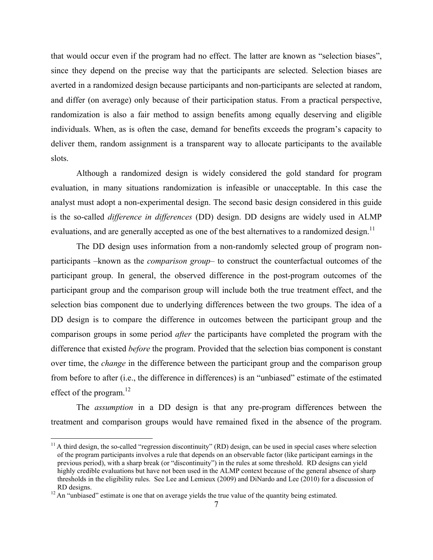that would occur even if the program had no effect. The latter are known as "selection biases", since they depend on the precise way that the participants are selected. Selection biases are averted in a randomized design because participants and non-participants are selected at random, and differ (on average) only because of their participation status. From a practical perspective, randomization is also a fair method to assign benefits among equally deserving and eligible individuals. When, as is often the case, demand for benefits exceeds the program's capacity to deliver them, random assignment is a transparent way to allocate participants to the available slots.

Although a randomized design is widely considered the gold standard for program evaluation, in many situations randomization is infeasible or unacceptable. In this case the analyst must adopt a non-experimental design. The second basic design considered in this guide is the so-called *difference in differences* (DD) design. DD designs are widely used in ALMP evaluations, and are generally accepted as one of the best alternatives to a randomized design.<sup>11</sup>

The DD design uses information from a non-randomly selected group of program nonparticipants –known as the *comparison group*– to construct the counterfactual outcomes of the participant group. In general, the observed difference in the post-program outcomes of the participant group and the comparison group will include both the true treatment effect, and the selection bias component due to underlying differences between the two groups. The idea of a DD design is to compare the difference in outcomes between the participant group and the comparison groups in some period *after* the participants have completed the program with the difference that existed *before* the program. Provided that the selection bias component is constant over time, the *change* in the difference between the participant group and the comparison group from before to after (i.e., the difference in differences) is an "unbiased" estimate of the estimated effect of the program.<sup>12</sup>

The *assumption* in a DD design is that any pre-program differences between the treatment and comparison groups would have remained fixed in the absence of the program.

 $11$  A third design, the so-called "regression discontinuity" (RD) design, can be used in special cases where selection of the program participants involves a rule that depends on an observable factor (like participant earnings in the previous period), with a sharp break (or "discontinuity") in the rules at some threshold. RD designs can yield highly credible evaluations but have not been used in the ALMP context because of the general absence of sharp thresholds in the eligibility rules. See Lee and Lemieux (2009) and DiNardo and Lee (2010) for a discussion of RD designs.<br><sup>12</sup> An "unbiased" estimate is one that on average yields the true value of the quantity being estimated.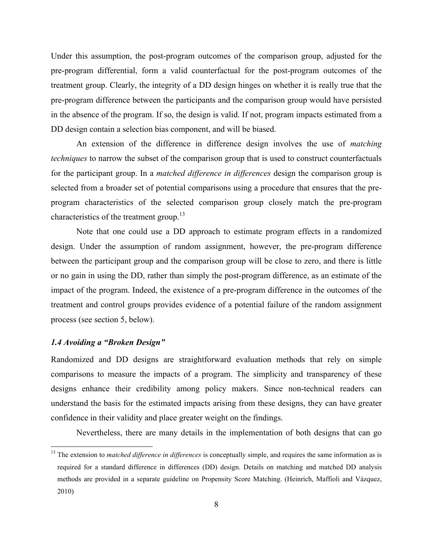Under this assumption, the post-program outcomes of the comparison group, adjusted for the pre-program differential, form a valid counterfactual for the post-program outcomes of the treatment group. Clearly, the integrity of a DD design hinges on whether it is really true that the pre-program difference between the participants and the comparison group would have persisted in the absence of the program. If so, the design is valid. If not, program impacts estimated from a DD design contain a selection bias component, and will be biased.

An extension of the difference in difference design involves the use of *matching techniques* to narrow the subset of the comparison group that is used to construct counterfactuals for the participant group. In a *matched difference in differences* design the comparison group is selected from a broader set of potential comparisons using a procedure that ensures that the preprogram characteristics of the selected comparison group closely match the pre-program characteristics of the treatment group.<sup>13</sup>

Note that one could use a DD approach to estimate program effects in a randomized design. Under the assumption of random assignment, however, the pre-program difference between the participant group and the comparison group will be close to zero, and there is little or no gain in using the DD, rather than simply the post-program difference, as an estimate of the impact of the program. Indeed, the existence of a pre-program difference in the outcomes of the treatment and control groups provides evidence of a potential failure of the random assignment process (see section 5, below).

# *1.4 Avoiding a "Broken Design"*

Randomized and DD designs are straightforward evaluation methods that rely on simple comparisons to measure the impacts of a program. The simplicity and transparency of these designs enhance their credibility among policy makers. Since non-technical readers can understand the basis for the estimated impacts arising from these designs, they can have greater confidence in their validity and place greater weight on the findings.

Nevertheless, there are many details in the implementation of both designs that can go

<sup>&</sup>lt;sup>13</sup> The extension to *matched difference in differences* is conceptually simple, and requires the same information as is required for a standard difference in differences (DD) design. Details on matching and matched DD analysis methods are provided in a separate guideline on Propensity Score Matching. (Heinrich, Maffioli and Vázquez, 2010)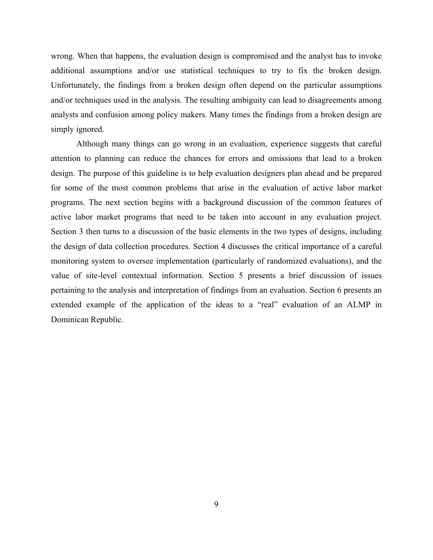wrong. When that happens, the evaluation design is compromised and the analyst has to invoke additional assumptions and/or use statistical techniques to try to fix the broken design. Unfortunately, the findings from a broken design often depend on the particular assumptions and/or techniques used in the analysis. The resulting ambiguity can lead to disagreements among analysts and confusion among policy makers. Many times the findings from a broken design are simply ignored.

Although many things can go wrong in an evaluation, experience suggests that careful attention to planning can reduce the chances for errors and omissions that lead to a broken design. The purpose of this guideline is to help evaluation designers plan ahead and be prepared for some of the most common problems that arise in the evaluation of active labor market programs. The next section begins with a background discussion of the common features of active labor market programs that need to be taken into account in any evaluation project. Section 3 then turns to a discussion of the basic elements in the two types of designs, including the design of data collection procedures. Section 4 discusses the critical importance of a careful monitoring system to oversee implementation (particularly of randomized evaluations), and the value of site-level contextual information. Section 5 presents a brief discussion of issues pertaining to the analysis and interpretation of findings from an evaluation. Section 6 presents an extended example of the application of the ideas to a "real" evaluation of an ALMP in Dominican Republic.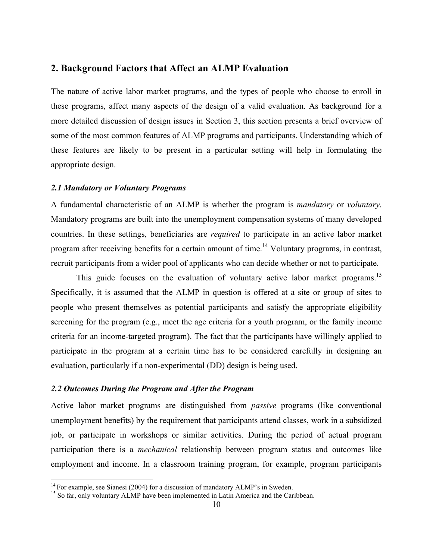# **2. Background Factors that Affect an ALMP Evaluation**

The nature of active labor market programs, and the types of people who choose to enroll in these programs, affect many aspects of the design of a valid evaluation. As background for a more detailed discussion of design issues in Section 3, this section presents a brief overview of some of the most common features of ALMP programs and participants. Understanding which of these features are likely to be present in a particular setting will help in formulating the appropriate design.

#### *2.1 Mandatory or Voluntary Programs*

A fundamental characteristic of an ALMP is whether the program is *mandatory* or *voluntary*. Mandatory programs are built into the unemployment compensation systems of many developed countries. In these settings, beneficiaries are *required* to participate in an active labor market program after receiving benefits for a certain amount of time.<sup>14</sup> Voluntary programs, in contrast, recruit participants from a wider pool of applicants who can decide whether or not to participate.

This guide focuses on the evaluation of voluntary active labor market programs.<sup>15</sup> Specifically, it is assumed that the ALMP in question is offered at a site or group of sites to people who present themselves as potential participants and satisfy the appropriate eligibility screening for the program (e.g., meet the age criteria for a youth program, or the family income criteria for an income-targeted program). The fact that the participants have willingly applied to participate in the program at a certain time has to be considered carefully in designing an evaluation, particularly if a non-experimental (DD) design is being used.

## *2.2 Outcomes During the Program and After the Program*

Active labor market programs are distinguished from *passive* programs (like conventional unemployment benefits) by the requirement that participants attend classes, work in a subsidized job, or participate in workshops or similar activities. During the period of actual program participation there is a *mechanical* relationship between program status and outcomes like employment and income. In a classroom training program, for example, program participants

<sup>&</sup>lt;sup>14</sup> For example, see Sianesi (2004) for a discussion of mandatory ALMP's in Sweden. <sup>15</sup> So far, only voluntary ALMP have been implemented in Latin America and the Caribbean.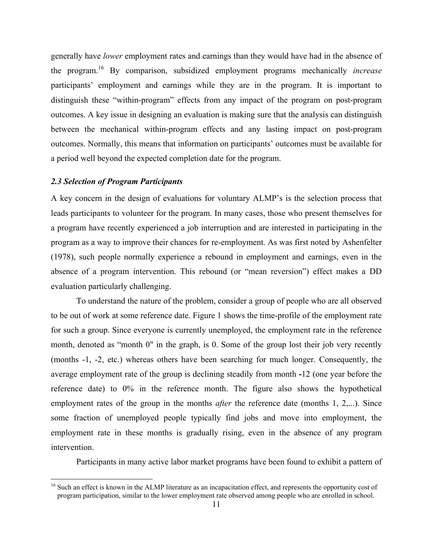generally have *lower* employment rates and earnings than they would have had in the absence of the program. 16 By comparison, subsidized employment programs mechanically *increase* participants' employment and earnings while they are in the program. It is important to distinguish these "within-program" effects from any impact of the program on post-program outcomes. A key issue in designing an evaluation is making sure that the analysis can distinguish between the mechanical within-program effects and any lasting impact on post-program outcomes. Normally, this means that information on participants' outcomes must be available for a period well beyond the expected completion date for the program.

#### *2.3 Selection of Program Participants*

A key concern in the design of evaluations for voluntary ALMP's is the selection process that leads participants to volunteer for the program. In many cases, those who present themselves for a program have recently experienced a job interruption and are interested in participating in the program as a way to improve their chances for re-employment. As was first noted by Ashenfelter (1978), such people normally experience a rebound in employment and earnings, even in the absence of a program intervention. This rebound (or "mean reversion") effect makes a DD evaluation particularly challenging.

To understand the nature of the problem, consider a group of people who are all observed to be out of work at some reference date. Figure 1 shows the time-profile of the employment rate for such a group. Since everyone is currently unemployed, the employment rate in the reference month, denoted as "month 0" in the graph, is 0. Some of the group lost their job very recently (months -1, -2, etc.) whereas others have been searching for much longer. Consequently, the average employment rate of the group is declining steadily from month **-**12 (one year before the reference date) to 0% in the reference month. The figure also shows the hypothetical employment rates of the group in the months *after* the reference date (months 1, 2,...). Since some fraction of unemployed people typically find jobs and move into employment, the employment rate in these months is gradually rising, even in the absence of any program intervention.

Participants in many active labor market programs have been found to exhibit a pattern of

<sup>&</sup>lt;sup>16</sup> Such an effect is known in the ALMP literature as an incapacitation effect, and represents the opportunity cost of program participation, similar to the lower employment rate observed among people who are enrolled in school.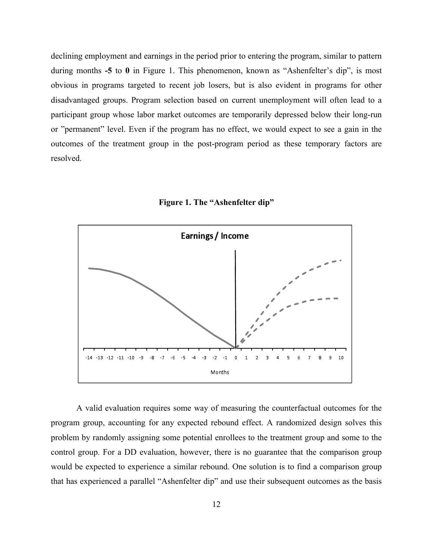declining employment and earnings in the period prior to entering the program, similar to pattern during months **-5** to **0** in Figure 1. This phenomenon, known as "Ashenfelter's dip", is most obvious in programs targeted to recent job losers, but is also evident in programs for other disadvantaged groups. Program selection based on current unemployment will often lead to a participant group whose labor market outcomes are temporarily depressed below their long-run or "permanent" level. Even if the program has no effect, we would expect to see a gain in the outcomes of the treatment group in the post-program period as these temporary factors are resolved.



**Figure 1. The "Ashenfelter dip"**

A valid evaluation requires some way of measuring the counterfactual outcomes for the program group, accounting for any expected rebound effect. A randomized design solves this problem by randomly assigning some potential enrollees to the treatment group and some to the control group. For a DD evaluation, however, there is no guarantee that the comparison group would be expected to experience a similar rebound. One solution is to find a comparison group that has experienced a parallel "Ashenfelter dip" and use their subsequent outcomes as the basis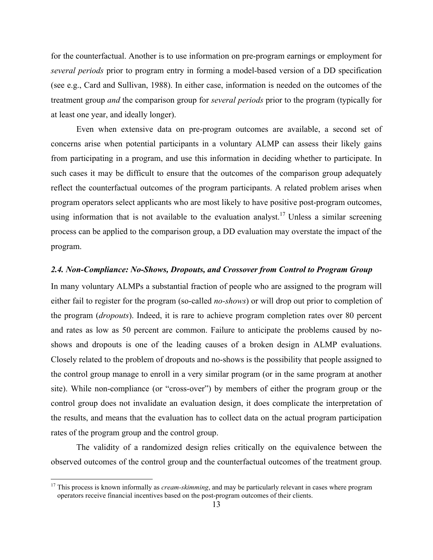for the counterfactual. Another is to use information on pre-program earnings or employment for *several periods* prior to program entry in forming a model-based version of a DD specification (see e.g., Card and Sullivan, 1988). In either case, information is needed on the outcomes of the treatment group *and* the comparison group for *several periods* prior to the program (typically for at least one year, and ideally longer).

Even when extensive data on pre-program outcomes are available, a second set of concerns arise when potential participants in a voluntary ALMP can assess their likely gains from participating in a program, and use this information in deciding whether to participate. In such cases it may be difficult to ensure that the outcomes of the comparison group adequately reflect the counterfactual outcomes of the program participants. A related problem arises when program operators select applicants who are most likely to have positive post-program outcomes, using information that is not available to the evaluation analyst.<sup>17</sup> Unless a similar screening process can be applied to the comparison group, a DD evaluation may overstate the impact of the program.

#### *2.4. Non-Compliance: No-Shows, Dropouts, and Crossover from Control to Program Group*

In many voluntary ALMPs a substantial fraction of people who are assigned to the program will either fail to register for the program (so-called *no-shows*) or will drop out prior to completion of the program (*dropouts*). Indeed, it is rare to achieve program completion rates over 80 percent and rates as low as 50 percent are common. Failure to anticipate the problems caused by noshows and dropouts is one of the leading causes of a broken design in ALMP evaluations. Closely related to the problem of dropouts and no-shows is the possibility that people assigned to the control group manage to enroll in a very similar program (or in the same program at another site). While non-compliance (or "cross-over") by members of either the program group or the control group does not invalidate an evaluation design, it does complicate the interpretation of the results, and means that the evaluation has to collect data on the actual program participation rates of the program group and the control group.

The validity of a randomized design relies critically on the equivalence between the observed outcomes of the control group and the counterfactual outcomes of the treatment group.

<sup>&</sup>lt;sup>17</sup> This process is known informally as *cream-skimming*, and may be particularly relevant in cases where program operators receive financial incentives based on the post-program outcomes of their clients.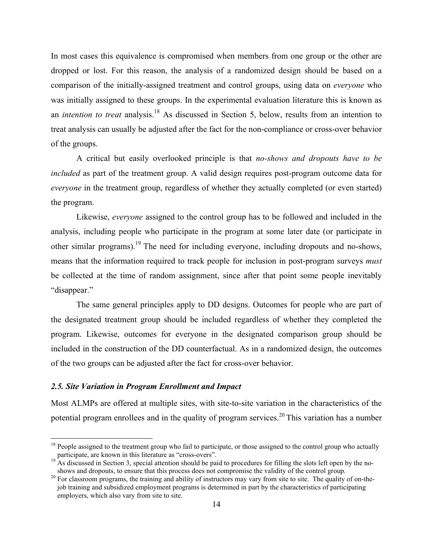In most cases this equivalence is compromised when members from one group or the other are dropped or lost. For this reason, the analysis of a randomized design should be based on a comparison of the initially-assigned treatment and control groups, using data on *everyone* who was initially assigned to these groups. In the experimental evaluation literature this is known as an *intention to treat* analysis. <sup>18</sup> As discussed in Section 5, below, results from an intention to treat analysis can usually be adjusted after the fact for the non-compliance or cross-over behavior of the groups.

A critical but easily overlooked principle is that *no-shows and dropouts have to be included* as part of the treatment group. A valid design requires post-program outcome data for *everyone* in the treatment group, regardless of whether they actually completed (or even started) the program.

Likewise, *everyone* assigned to the control group has to be followed and included in the analysis, including people who participate in the program at some later date (or participate in other similar programs).<sup>19</sup> The need for including everyone, including dropouts and no-shows, means that the information required to track people for inclusion in post-program surveys *must*  be collected at the time of random assignment, since after that point some people inevitably "disappear."

The same general principles apply to DD designs. Outcomes for people who are part of the designated treatment group should be included regardless of whether they completed the program. Likewise, outcomes for everyone in the designated comparison group should be included in the construction of the DD counterfactual. As in a randomized design, the outcomes of the two groups can be adjusted after the fact for cross-over behavior.

### *2.5. Site Variation in Program Enrollment and Impact*

Most ALMPs are offered at multiple sites, with site-to-site variation in the characteristics of the potential program enrollees and in the quality of program services.<sup>20</sup> This variation has a number

<sup>&</sup>lt;sup>18</sup> People assigned to the treatment group who fail to participate, or those assigned to the control group who actually participate, are known in this literature as "cross-overs".

As discussed in Section 3, special attention should be paid to procedures for filling the slots left open by the noshows and dropouts, to ensure that this process does not compromise the validity of the control group.<br><sup>20</sup> For classroom programs, the training and ability of instructors may vary from site to site. The quality of on-the-

job training and subsidized employment programs is determined in part by the characteristics of participating employers, which also vary from site to site.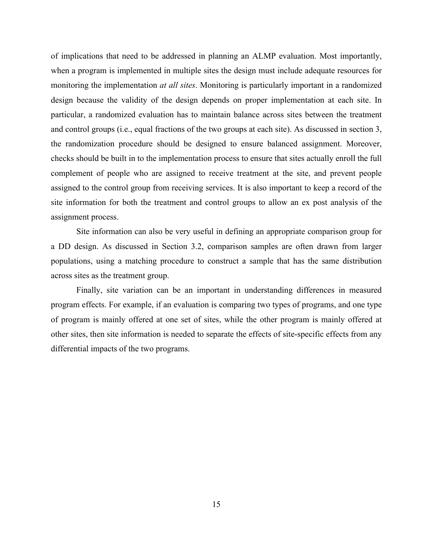of implications that need to be addressed in planning an ALMP evaluation. Most importantly, when a program is implemented in multiple sites the design must include adequate resources for monitoring the implementation *at all sites*. Monitoring is particularly important in a randomized design because the validity of the design depends on proper implementation at each site. In particular, a randomized evaluation has to maintain balance across sites between the treatment and control groups (i.e., equal fractions of the two groups at each site). As discussed in section 3, the randomization procedure should be designed to ensure balanced assignment. Moreover, checks should be built in to the implementation process to ensure that sites actually enroll the full complement of people who are assigned to receive treatment at the site, and prevent people assigned to the control group from receiving services. It is also important to keep a record of the site information for both the treatment and control groups to allow an ex post analysis of the assignment process.

Site information can also be very useful in defining an appropriate comparison group for a DD design. As discussed in Section 3.2, comparison samples are often drawn from larger populations, using a matching procedure to construct a sample that has the same distribution across sites as the treatment group.

Finally, site variation can be an important in understanding differences in measured program effects. For example, if an evaluation is comparing two types of programs, and one type of program is mainly offered at one set of sites, while the other program is mainly offered at other sites, then site information is needed to separate the effects of site-specific effects from any differential impacts of the two programs.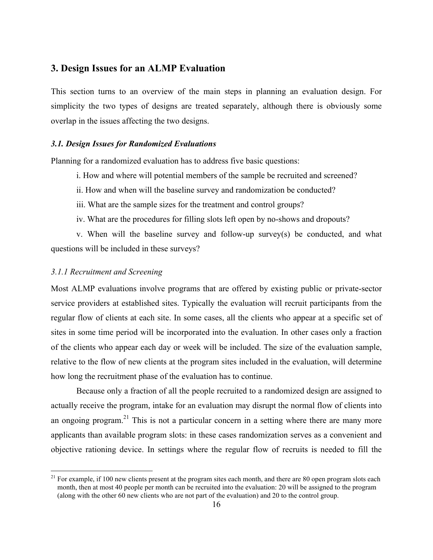# **3. Design Issues for an ALMP Evaluation**

This section turns to an overview of the main steps in planning an evaluation design. For simplicity the two types of designs are treated separately, although there is obviously some overlap in the issues affecting the two designs.

# *3.1. Design Issues for Randomized Evaluations*

Planning for a randomized evaluation has to address five basic questions:

- i. How and where will potential members of the sample be recruited and screened?
- ii. How and when will the baseline survey and randomization be conducted?
- iii. What are the sample sizes for the treatment and control groups?
- iv. What are the procedures for filling slots left open by no-shows and dropouts?

v. When will the baseline survey and follow-up survey(s) be conducted, and what questions will be included in these surveys?

#### *3.1.1 Recruitment and Screening*

Most ALMP evaluations involve programs that are offered by existing public or private-sector service providers at established sites. Typically the evaluation will recruit participants from the regular flow of clients at each site. In some cases, all the clients who appear at a specific set of sites in some time period will be incorporated into the evaluation. In other cases only a fraction of the clients who appear each day or week will be included. The size of the evaluation sample, relative to the flow of new clients at the program sites included in the evaluation, will determine how long the recruitment phase of the evaluation has to continue.

Because only a fraction of all the people recruited to a randomized design are assigned to actually receive the program, intake for an evaluation may disrupt the normal flow of clients into an ongoing program.<sup>21</sup> This is not a particular concern in a setting where there are many more applicants than available program slots: in these cases randomization serves as a convenient and objective rationing device. In settings where the regular flow of recruits is needed to fill the

 $21$  For example, if 100 new clients present at the program sites each month, and there are 80 open program slots each month, then at most 40 people per month can be recruited into the evaluation: 20 will be assigned to the program (along with the other 60 new clients who are not part of the evaluation) and 20 to the control group.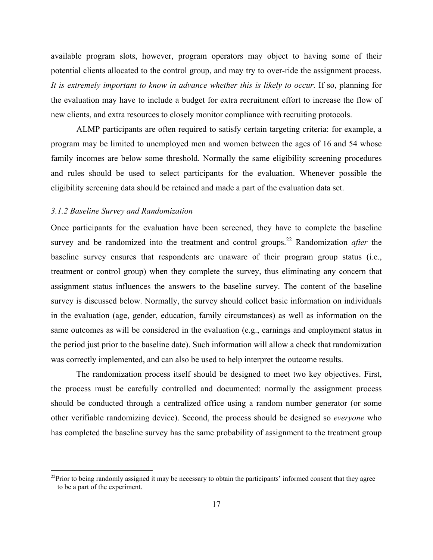available program slots, however, program operators may object to having some of their potential clients allocated to the control group, and may try to over-ride the assignment process. *It is extremely important to know in advance whether this is likely to occur.* If so, planning for the evaluation may have to include a budget for extra recruitment effort to increase the flow of new clients, and extra resources to closely monitor compliance with recruiting protocols.

ALMP participants are often required to satisfy certain targeting criteria: for example, a program may be limited to unemployed men and women between the ages of 16 and 54 whose family incomes are below some threshold. Normally the same eligibility screening procedures and rules should be used to select participants for the evaluation. Whenever possible the eligibility screening data should be retained and made a part of the evaluation data set.

# *3.1.2 Baseline Survey and Randomization*

Once participants for the evaluation have been screened, they have to complete the baseline survey and be randomized into the treatment and control groups. 22 Randomization *after* the baseline survey ensures that respondents are unaware of their program group status (i.e., treatment or control group) when they complete the survey, thus eliminating any concern that assignment status influences the answers to the baseline survey. The content of the baseline survey is discussed below. Normally, the survey should collect basic information on individuals in the evaluation (age, gender, education, family circumstances) as well as information on the same outcomes as will be considered in the evaluation (e.g., earnings and employment status in the period just prior to the baseline date). Such information will allow a check that randomization was correctly implemented, and can also be used to help interpret the outcome results.

The randomization process itself should be designed to meet two key objectives. First, the process must be carefully controlled and documented: normally the assignment process should be conducted through a centralized office using a random number generator (or some other verifiable randomizing device). Second, the process should be designed so *everyone* who has completed the baseline survey has the same probability of assignment to the treatment group

<sup>&</sup>lt;sup>22</sup>Prior to being randomly assigned it may be necessary to obtain the participants' informed consent that they agree to be a part of the experiment.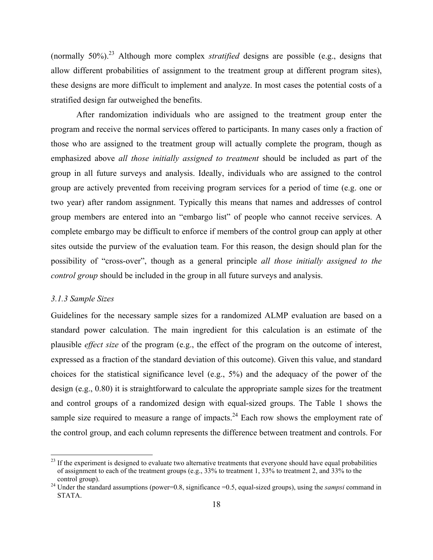(normally 50%). <sup>23</sup> Although more complex *stratified* designs are possible (e.g., designs that allow different probabilities of assignment to the treatment group at different program sites), these designs are more difficult to implement and analyze. In most cases the potential costs of a stratified design far outweighed the benefits.

After randomization individuals who are assigned to the treatment group enter the program and receive the normal services offered to participants. In many cases only a fraction of those who are assigned to the treatment group will actually complete the program, though as emphasized above *all those initially assigned to treatment* should be included as part of the group in all future surveys and analysis. Ideally, individuals who are assigned to the control group are actively prevented from receiving program services for a period of time (e.g. one or two year) after random assignment. Typically this means that names and addresses of control group members are entered into an "embargo list" of people who cannot receive services. A complete embargo may be difficult to enforce if members of the control group can apply at other sites outside the purview of the evaluation team. For this reason, the design should plan for the possibility of "cross-over", though as a general principle *all those initially assigned to the control group* should be included in the group in all future surveys and analysis.

#### *3.1.3 Sample Sizes*

Guidelines for the necessary sample sizes for a randomized ALMP evaluation are based on a standard power calculation. The main ingredient for this calculation is an estimate of the plausible *effect size* of the program (e.g., the effect of the program on the outcome of interest, expressed as a fraction of the standard deviation of this outcome). Given this value, and standard choices for the statistical significance level (e.g., 5%) and the adequacy of the power of the design (e.g., 0.80) it is straightforward to calculate the appropriate sample sizes for the treatment and control groups of a randomized design with equal-sized groups. The Table 1 shows the sample size required to measure a range of impacts.<sup>24</sup> Each row shows the employment rate of the control group, and each column represents the difference between treatment and controls. For

 $23$  If the experiment is designed to evaluate two alternative treatments that everyone should have equal probabilities of assignment to each of the treatment groups (e.g.,  $33\%$  to treatment 1,  $33\%$  to treatment 2, and  $33\%$  to the control group).

<sup>&</sup>lt;sup>24</sup> Under the standard assumptions (power=0.8, significance =0.5, equal-sized groups), using the *sampsi* command in STATA.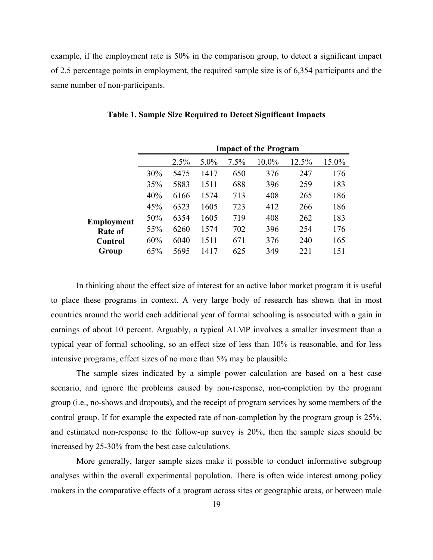example, if the employment rate is 50% in the comparison group, to detect a significant impact of 2.5 percentage points in employment, the required sample size is of 6,354 participants and the same number of non-participants.

|                |     |      |         |      | <b>Impact of the Program</b> |       |       |
|----------------|-----|------|---------|------|------------------------------|-------|-------|
|                |     | 2.5% | $5.0\%$ | 7.5% | 10.0%                        | 12.5% | 15.0% |
|                | 30% | 5475 | 1417    | 650  | 376                          | 247   | 176   |
|                | 35% | 5883 | 1511    | 688  | 396                          | 259   | 183   |
|                | 40% | 6166 | 1574    | 713  | 408                          | 265   | 186   |
|                | 45% | 6323 | 1605    | 723  | 412                          | 266   | 186   |
| Employment     | 50% | 6354 | 1605    | 719  | 408                          | 262   | 183   |
| <b>Rate of</b> | 55% | 6260 | 1574    | 702  | 396                          | 254   | 176   |
| Control        | 60% | 6040 | 1511    | 671  | 376                          | 240   | 165   |
| Group          | 65% | 5695 | 1417    | 625  | 349                          | 221   | 151   |

|  |  |  |  |  |  | Table 1. Sample Size Required to Detect Significant Impacts |  |
|--|--|--|--|--|--|-------------------------------------------------------------|--|
|  |  |  |  |  |  |                                                             |  |

In thinking about the effect size of interest for an active labor market program it is useful to place these programs in context. A very large body of research has shown that in most countries around the world each additional year of formal schooling is associated with a gain in earnings of about 10 percent. Arguably, a typical ALMP involves a smaller investment than a typical year of formal schooling, so an effect size of less than 10% is reasonable, and for less intensive programs, effect sizes of no more than 5% may be plausible.

The sample sizes indicated by a simple power calculation are based on a best case scenario, and ignore the problems caused by non-response, non-completion by the program group (i.e., no-shows and dropouts), and the receipt of program services by some members of the control group. If for example the expected rate of non-completion by the program group is 25%, and estimated non-response to the follow-up survey is 20%, then the sample sizes should be increased by 25-30% from the best case calculations.

More generally, larger sample sizes make it possible to conduct informative subgroup analyses within the overall experimental population. There is often wide interest among policy makers in the comparative effects of a program across sites or geographic areas, or between male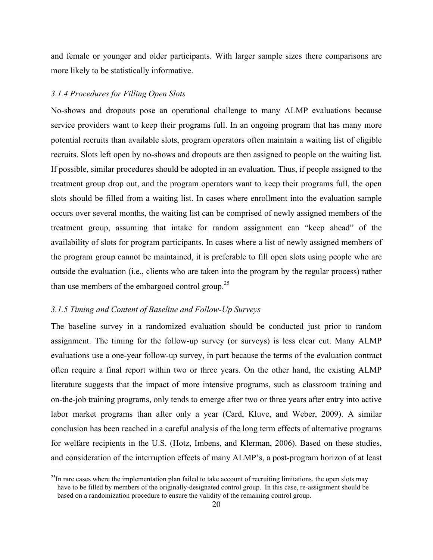and female or younger and older participants. With larger sample sizes there comparisons are more likely to be statistically informative.

# *3.1.4 Procedures for Filling Open Slots*

No-shows and dropouts pose an operational challenge to many ALMP evaluations because service providers want to keep their programs full. In an ongoing program that has many more potential recruits than available slots, program operators often maintain a waiting list of eligible recruits. Slots left open by no-shows and dropouts are then assigned to people on the waiting list. If possible, similar procedures should be adopted in an evaluation. Thus, if people assigned to the treatment group drop out, and the program operators want to keep their programs full, the open slots should be filled from a waiting list. In cases where enrollment into the evaluation sample occurs over several months, the waiting list can be comprised of newly assigned members of the treatment group, assuming that intake for random assignment can "keep ahead" of the availability of slots for program participants. In cases where a list of newly assigned members of the program group cannot be maintained, it is preferable to fill open slots using people who are outside the evaluation (i.e., clients who are taken into the program by the regular process) rather than use members of the embargoed control group.<sup>25</sup>

## *3.1.5 Timing and Content of Baseline and Follow-Up Surveys*

The baseline survey in a randomized evaluation should be conducted just prior to random assignment. The timing for the follow-up survey (or surveys) is less clear cut. Many ALMP evaluations use a one-year follow-up survey, in part because the terms of the evaluation contract often require a final report within two or three years. On the other hand, the existing ALMP literature suggests that the impact of more intensive programs, such as classroom training and on-the-job training programs, only tends to emerge after two or three years after entry into active labor market programs than after only a year (Card, Kluve, and Weber, 2009). A similar conclusion has been reached in a careful analysis of the long term effects of alternative programs for welfare recipients in the U.S. (Hotz, Imbens, and Klerman, 2006). Based on these studies, and consideration of the interruption effects of many ALMP's, a post-program horizon of at least

 $^{25}$ In rare cases where the implementation plan failed to take account of recruiting limitations, the open slots may have to be filled by members of the originally-designated control group. In this case, re-assignment should be based on a randomization procedure to ensure the validity of the remaining control group.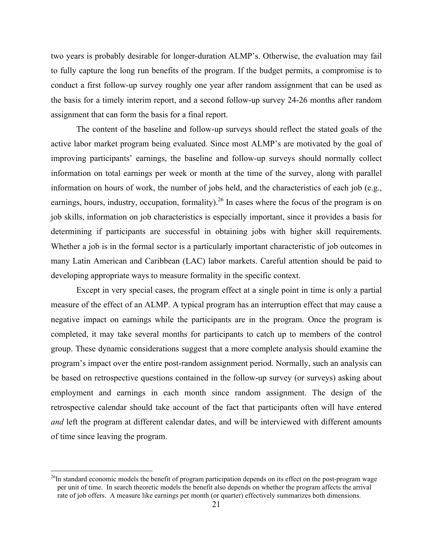two years is probably desirable for longer-duration ALMP's. Otherwise, the evaluation may fail to fully capture the long run benefits of the program. If the budget permits, a compromise is to conduct a first follow-up survey roughly one year after random assignment that can be used as the basis for a timely interim report, and a second follow-up survey 24-26 months after random assignment that can form the basis for a final report.

The content of the baseline and follow-up surveys should reflect the stated goals of the active labor market program being evaluated. Since most ALMP's are motivated by the goal of improving participants' earnings, the baseline and follow-up surveys should normally collect information on total earnings per week or month at the time of the survey, along with parallel information on hours of work, the number of jobs held, and the characteristics of each job (e.g., earnings, hours, industry, occupation, formality).<sup>26</sup> In cases where the focus of the program is on job skills, information on job characteristics is especially important, since it provides a basis for determining if participants are successful in obtaining jobs with higher skill requirements. Whether a job is in the formal sector is a particularly important characteristic of job outcomes in many Latin American and Caribbean (LAC) labor markets. Careful attention should be paid to developing appropriate ways to measure formality in the specific context.

Except in very special cases, the program effect at a single point in time is only a partial measure of the effect of an ALMP. A typical program has an interruption effect that may cause a negative impact on earnings while the participants are in the program. Once the program is completed, it may take several months for participants to catch up to members of the control group. These dynamic considerations suggest that a more complete analysis should examine the program's impact over the entire post-random assignment period. Normally, such an analysis can be based on retrospective questions contained in the follow-up survey (or surveys) asking about employment and earnings in each month since random assignment. The design of the retrospective calendar should take account of the fact that participants often will have entered *and* left the program at different calendar dates, and will be interviewed with different amounts of time since leaving the program.

 $^{26}$ In standard economic models the benefit of program participation depends on its effect on the post-program wage per unit of time. In search theoretic models the benefit also depends on whether the program affects the arrival rate of job offers. A measure like earnings per month (or quarter) effectively summarizes both dimensions.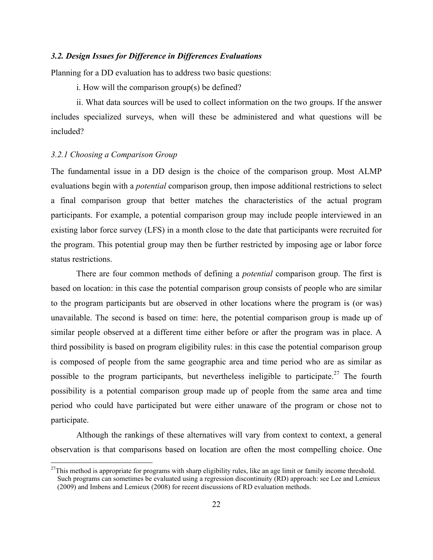# *3.2. Design Issues for Difference in Differences Evaluations*

Planning for a DD evaluation has to address two basic questions:

i. How will the comparison group(s) be defined?

ii. What data sources will be used to collect information on the two groups. If the answer includes specialized surveys, when will these be administered and what questions will be included?

# *3.2.1 Choosing a Comparison Group*

The fundamental issue in a DD design is the choice of the comparison group. Most ALMP evaluations begin with a *potential* comparison group, then impose additional restrictions to select a final comparison group that better matches the characteristics of the actual program participants. For example, a potential comparison group may include people interviewed in an existing labor force survey (LFS) in a month close to the date that participants were recruited for the program. This potential group may then be further restricted by imposing age or labor force status restrictions.

There are four common methods of defining a *potential* comparison group. The first is based on location: in this case the potential comparison group consists of people who are similar to the program participants but are observed in other locations where the program is (or was) unavailable. The second is based on time: here, the potential comparison group is made up of similar people observed at a different time either before or after the program was in place. A third possibility is based on program eligibility rules: in this case the potential comparison group is composed of people from the same geographic area and time period who are as similar as possible to the program participants, but nevertheless ineligible to participate.<sup>27</sup> The fourth possibility is a potential comparison group made up of people from the same area and time period who could have participated but were either unaware of the program or chose not to participate.

Although the rankings of these alternatives will vary from context to context, a general observation is that comparisons based on location are often the most compelling choice. One

 $27$ This method is appropriate for programs with sharp eligibility rules, like an age limit or family income threshold. Such programs can sometimes be evaluated using a regression discontinuity (RD) approach: see Lee and Lemieux (2009) and Imbens and Lemieux (2008) for recent discussions of RD evaluation methods.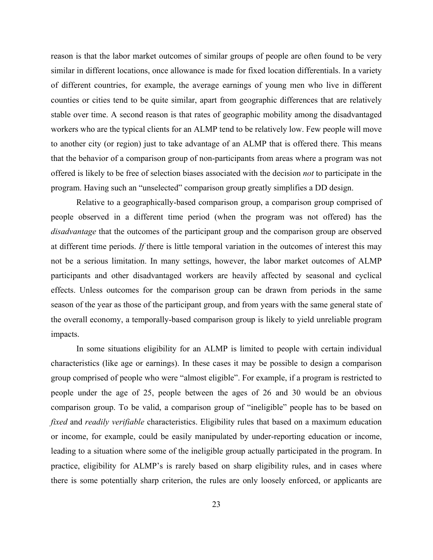reason is that the labor market outcomes of similar groups of people are often found to be very similar in different locations, once allowance is made for fixed location differentials. In a variety of different countries, for example, the average earnings of young men who live in different counties or cities tend to be quite similar, apart from geographic differences that are relatively stable over time. A second reason is that rates of geographic mobility among the disadvantaged workers who are the typical clients for an ALMP tend to be relatively low. Few people will move to another city (or region) just to take advantage of an ALMP that is offered there. This means that the behavior of a comparison group of non-participants from areas where a program was not offered is likely to be free of selection biases associated with the decision *not* to participate in the program. Having such an "unselected" comparison group greatly simplifies a DD design.

Relative to a geographically-based comparison group, a comparison group comprised of people observed in a different time period (when the program was not offered) has the *disadvantage* that the outcomes of the participant group and the comparison group are observed at different time periods. *If* there is little temporal variation in the outcomes of interest this may not be a serious limitation. In many settings, however, the labor market outcomes of ALMP participants and other disadvantaged workers are heavily affected by seasonal and cyclical effects. Unless outcomes for the comparison group can be drawn from periods in the same season of the year as those of the participant group, and from years with the same general state of the overall economy, a temporally-based comparison group is likely to yield unreliable program impacts.

In some situations eligibility for an ALMP is limited to people with certain individual characteristics (like age or earnings). In these cases it may be possible to design a comparison group comprised of people who were "almost eligible". For example, if a program is restricted to people under the age of 25, people between the ages of 26 and 30 would be an obvious comparison group. To be valid, a comparison group of "ineligible" people has to be based on *fixed* and *readily verifiable* characteristics. Eligibility rules that based on a maximum education or income, for example, could be easily manipulated by under-reporting education or income, leading to a situation where some of the ineligible group actually participated in the program. In practice, eligibility for ALMP's is rarely based on sharp eligibility rules, and in cases where there is some potentially sharp criterion, the rules are only loosely enforced, or applicants are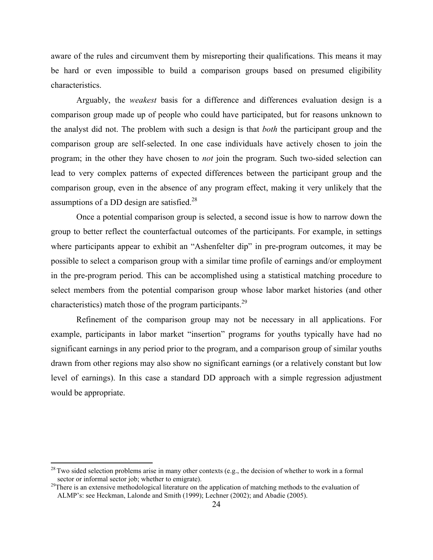aware of the rules and circumvent them by misreporting their qualifications. This means it may be hard or even impossible to build a comparison groups based on presumed eligibility characteristics.

Arguably, the *weakest* basis for a difference and differences evaluation design is a comparison group made up of people who could have participated, but for reasons unknown to the analyst did not. The problem with such a design is that *both* the participant group and the comparison group are self-selected. In one case individuals have actively chosen to join the program; in the other they have chosen to *not* join the program. Such two-sided selection can lead to very complex patterns of expected differences between the participant group and the comparison group, even in the absence of any program effect, making it very unlikely that the assumptions of a DD design are satisfied.<sup>28</sup>

Once a potential comparison group is selected, a second issue is how to narrow down the group to better reflect the counterfactual outcomes of the participants. For example, in settings where participants appear to exhibit an "Ashenfelter dip" in pre-program outcomes, it may be possible to select a comparison group with a similar time profile of earnings and/or employment in the pre-program period. This can be accomplished using a statistical matching procedure to select members from the potential comparison group whose labor market histories (and other characteristics) match those of the program participants.<sup>29</sup>

Refinement of the comparison group may not be necessary in all applications. For example, participants in labor market "insertion" programs for youths typically have had no significant earnings in any period prior to the program, and a comparison group of similar youths drawn from other regions may also show no significant earnings (or a relatively constant but low level of earnings). In this case a standard DD approach with a simple regression adjustment would be appropriate.

<sup>&</sup>lt;sup>28</sup> Two sided selection problems arise in many other contexts (e.g., the decision of whether to work in a formal sector or informal sector job; whether to emigrate).

 $29$ There is an extensive methodological literature on the application of matching methods to the evaluation of ALMP's: see Heckman, Lalonde and Smith (1999); Lechner (2002); and Abadie (2005).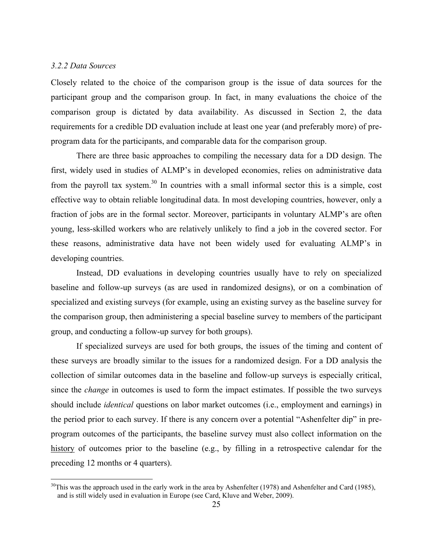# *3.2.2 Data Sources*

Closely related to the choice of the comparison group is the issue of data sources for the participant group and the comparison group. In fact, in many evaluations the choice of the comparison group is dictated by data availability. As discussed in Section 2, the data requirements for a credible DD evaluation include at least one year (and preferably more) of preprogram data for the participants, and comparable data for the comparison group.

There are three basic approaches to compiling the necessary data for a DD design. The first, widely used in studies of ALMP's in developed economies, relies on administrative data from the payroll tax system.<sup>30</sup> In countries with a small informal sector this is a simple, cost effective way to obtain reliable longitudinal data. In most developing countries, however, only a fraction of jobs are in the formal sector. Moreover, participants in voluntary ALMP's are often young, less-skilled workers who are relatively unlikely to find a job in the covered sector. For these reasons, administrative data have not been widely used for evaluating ALMP's in developing countries.

Instead, DD evaluations in developing countries usually have to rely on specialized baseline and follow-up surveys (as are used in randomized designs), or on a combination of specialized and existing surveys (for example, using an existing survey as the baseline survey for the comparison group, then administering a special baseline survey to members of the participant group, and conducting a follow-up survey for both groups).

If specialized surveys are used for both groups, the issues of the timing and content of these surveys are broadly similar to the issues for a randomized design. For a DD analysis the collection of similar outcomes data in the baseline and follow-up surveys is especially critical, since the *change* in outcomes is used to form the impact estimates. If possible the two surveys should include *identical* questions on labor market outcomes (i.e., employment and earnings) in the period prior to each survey. If there is any concern over a potential "Ashenfelter dip" in preprogram outcomes of the participants, the baseline survey must also collect information on the history of outcomes prior to the baseline (e.g., by filling in a retrospective calendar for the preceding 12 months or 4 quarters).

 $30$ This was the approach used in the early work in the area by Ashenfelter (1978) and Ashenfelter and Card (1985), and is still widely used in evaluation in Europe (see Card, Kluve and Weber, 2009).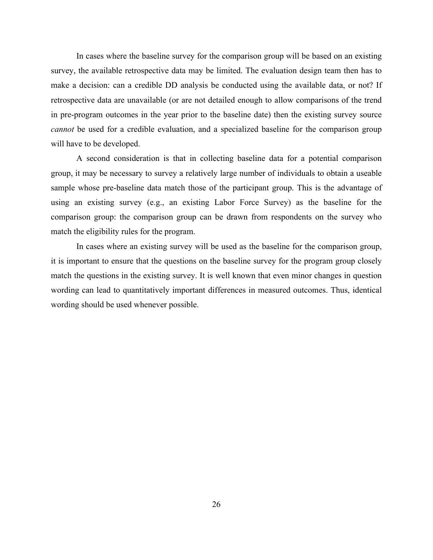In cases where the baseline survey for the comparison group will be based on an existing survey, the available retrospective data may be limited. The evaluation design team then has to make a decision: can a credible DD analysis be conducted using the available data, or not? If retrospective data are unavailable (or are not detailed enough to allow comparisons of the trend in pre-program outcomes in the year prior to the baseline date) then the existing survey source *cannot* be used for a credible evaluation, and a specialized baseline for the comparison group will have to be developed.

A second consideration is that in collecting baseline data for a potential comparison group, it may be necessary to survey a relatively large number of individuals to obtain a useable sample whose pre-baseline data match those of the participant group. This is the advantage of using an existing survey (e.g., an existing Labor Force Survey) as the baseline for the comparison group: the comparison group can be drawn from respondents on the survey who match the eligibility rules for the program.

In cases where an existing survey will be used as the baseline for the comparison group, it is important to ensure that the questions on the baseline survey for the program group closely match the questions in the existing survey. It is well known that even minor changes in question wording can lead to quantitatively important differences in measured outcomes. Thus, identical wording should be used whenever possible.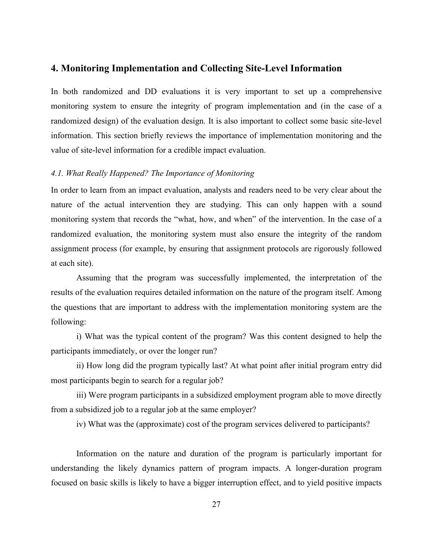# **4. Monitoring Implementation and Collecting Site-Level Information**

In both randomized and DD evaluations it is very important to set up a comprehensive monitoring system to ensure the integrity of program implementation and (in the case of a randomized design) of the evaluation design. It is also important to collect some basic site-level information. This section briefly reviews the importance of implementation monitoring and the value of site-level information for a credible impact evaluation.

## *4.1. What Really Happened? The Importance of Monitoring*

In order to learn from an impact evaluation, analysts and readers need to be very clear about the nature of the actual intervention they are studying. This can only happen with a sound monitoring system that records the "what, how, and when" of the intervention. In the case of a randomized evaluation, the monitoring system must also ensure the integrity of the random assignment process (for example, by ensuring that assignment protocols are rigorously followed at each site).

Assuming that the program was successfully implemented, the interpretation of the results of the evaluation requires detailed information on the nature of the program itself. Among the questions that are important to address with the implementation monitoring system are the following:

i) What was the typical content of the program? Was this content designed to help the participants immediately, or over the longer run?

ii) How long did the program typically last? At what point after initial program entry did most participants begin to search for a regular job?

iii) Were program participants in a subsidized employment program able to move directly from a subsidized job to a regular job at the same employer?

iv) What was the (approximate) cost of the program services delivered to participants?

Information on the nature and duration of the program is particularly important for understanding the likely dynamics pattern of program impacts. A longer-duration program focused on basic skills is likely to have a bigger interruption effect, and to yield positive impacts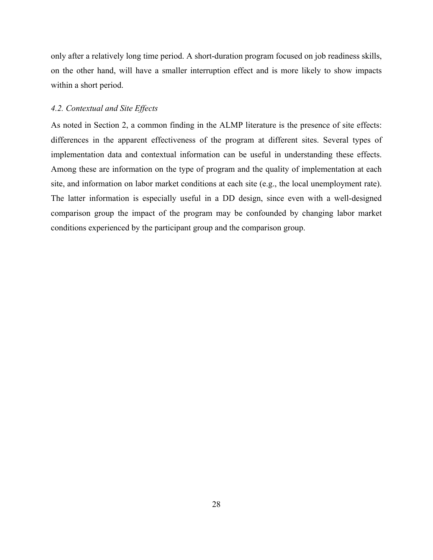only after a relatively long time period. A short-duration program focused on job readiness skills, on the other hand, will have a smaller interruption effect and is more likely to show impacts within a short period.

# *4.2. Contextual and Site Effects*

As noted in Section 2, a common finding in the ALMP literature is the presence of site effects: differences in the apparent effectiveness of the program at different sites. Several types of implementation data and contextual information can be useful in understanding these effects. Among these are information on the type of program and the quality of implementation at each site, and information on labor market conditions at each site (e.g., the local unemployment rate). The latter information is especially useful in a DD design, since even with a well-designed comparison group the impact of the program may be confounded by changing labor market conditions experienced by the participant group and the comparison group.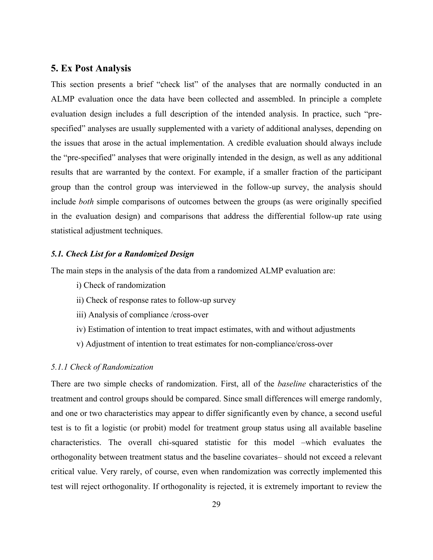# **5. Ex Post Analysis**

This section presents a brief "check list" of the analyses that are normally conducted in an ALMP evaluation once the data have been collected and assembled. In principle a complete evaluation design includes a full description of the intended analysis. In practice, such "prespecified" analyses are usually supplemented with a variety of additional analyses, depending on the issues that arose in the actual implementation. A credible evaluation should always include the "pre-specified" analyses that were originally intended in the design, as well as any additional results that are warranted by the context. For example, if a smaller fraction of the participant group than the control group was interviewed in the follow-up survey, the analysis should include *both* simple comparisons of outcomes between the groups (as were originally specified in the evaluation design) and comparisons that address the differential follow-up rate using statistical adjustment techniques.

# *5.1. Check List for a Randomized Design*

The main steps in the analysis of the data from a randomized ALMP evaluation are:

- i) Check of randomization
- ii) Check of response rates to follow-up survey
- iii) Analysis of compliance /cross-over
- iv) Estimation of intention to treat impact estimates, with and without adjustments
- v) Adjustment of intention to treat estimates for non-compliance/cross-over

# *5.1.1 Check of Randomization*

There are two simple checks of randomization. First, all of the *baseline* characteristics of the treatment and control groups should be compared. Since small differences will emerge randomly, and one or two characteristics may appear to differ significantly even by chance, a second useful test is to fit a logistic (or probit) model for treatment group status using all available baseline characteristics. The overall chi-squared statistic for this model –which evaluates the orthogonality between treatment status and the baseline covariates– should not exceed a relevant critical value. Very rarely, of course, even when randomization was correctly implemented this test will reject orthogonality. If orthogonality is rejected, it is extremely important to review the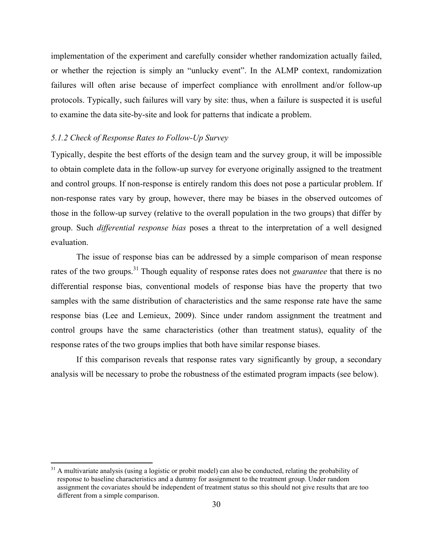implementation of the experiment and carefully consider whether randomization actually failed, or whether the rejection is simply an "unlucky event". In the ALMP context, randomization failures will often arise because of imperfect compliance with enrollment and/or follow-up protocols. Typically, such failures will vary by site: thus, when a failure is suspected it is useful to examine the data site-by-site and look for patterns that indicate a problem.

## *5.1.2 Check of Response Rates to Follow-Up Survey*

Typically, despite the best efforts of the design team and the survey group, it will be impossible to obtain complete data in the follow-up survey for everyone originally assigned to the treatment and control groups. If non-response is entirely random this does not pose a particular problem. If non-response rates vary by group, however, there may be biases in the observed outcomes of those in the follow-up survey (relative to the overall population in the two groups) that differ by group. Such *differential response bias* poses a threat to the interpretation of a well designed evaluation.

The issue of response bias can be addressed by a simple comparison of mean response rates of the two groups.<sup>31</sup> Though equality of response rates does not *guarantee* that there is no differential response bias, conventional models of response bias have the property that two samples with the same distribution of characteristics and the same response rate have the same response bias (Lee and Lemieux, 2009). Since under random assignment the treatment and control groups have the same characteristics (other than treatment status), equality of the response rates of the two groups implies that both have similar response biases.

If this comparison reveals that response rates vary significantly by group, a secondary analysis will be necessary to probe the robustness of the estimated program impacts (see below).

 $31$  A multivariate analysis (using a logistic or probit model) can also be conducted, relating the probability of response to baseline characteristics and a dummy for assignment to the treatment group. Under random assignment the covariates should be independent of treatment status so this should not give results that are too different from a simple comparison.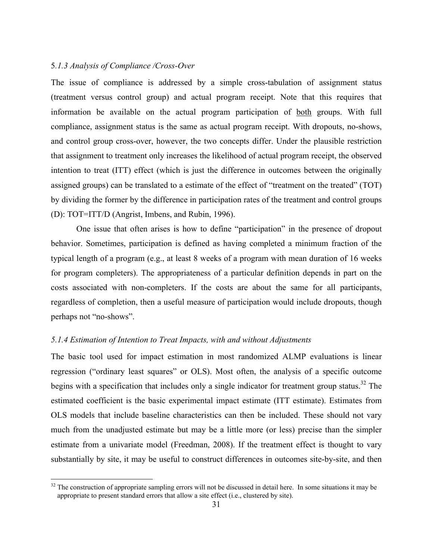# 5*.1.3 Analysis of Compliance /Cross-Over*

The issue of compliance is addressed by a simple cross-tabulation of assignment status (treatment versus control group) and actual program receipt. Note that this requires that information be available on the actual program participation of both groups. With full compliance, assignment status is the same as actual program receipt. With dropouts, no-shows, and control group cross-over, however, the two concepts differ. Under the plausible restriction that assignment to treatment only increases the likelihood of actual program receipt, the observed intention to treat (ITT) effect (which is just the difference in outcomes between the originally assigned groups) can be translated to a estimate of the effect of "treatment on the treated" (TOT) by dividing the former by the difference in participation rates of the treatment and control groups (D): TOT=ITT/D (Angrist, Imbens, and Rubin, 1996).

One issue that often arises is how to define "participation" in the presence of dropout behavior. Sometimes, participation is defined as having completed a minimum fraction of the typical length of a program (e.g., at least 8 weeks of a program with mean duration of 16 weeks for program completers). The appropriateness of a particular definition depends in part on the costs associated with non-completers. If the costs are about the same for all participants, regardless of completion, then a useful measure of participation would include dropouts, though perhaps not "no-shows".

#### *5.1.4 Estimation of Intention to Treat Impacts, with and without Adjustments*

The basic tool used for impact estimation in most randomized ALMP evaluations is linear regression ("ordinary least squares" or OLS). Most often, the analysis of a specific outcome begins with a specification that includes only a single indicator for treatment group status.<sup>32</sup> The estimated coefficient is the basic experimental impact estimate (ITT estimate). Estimates from OLS models that include baseline characteristics can then be included. These should not vary much from the unadjusted estimate but may be a little more (or less) precise than the simpler estimate from a univariate model (Freedman, 2008). If the treatment effect is thought to vary substantially by site, it may be useful to construct differences in outcomes site-by-site, and then

 $32$  The construction of appropriate sampling errors will not be discussed in detail here. In some situations it may be appropriate to present standard errors that allow a site effect (i.e., clustered by site).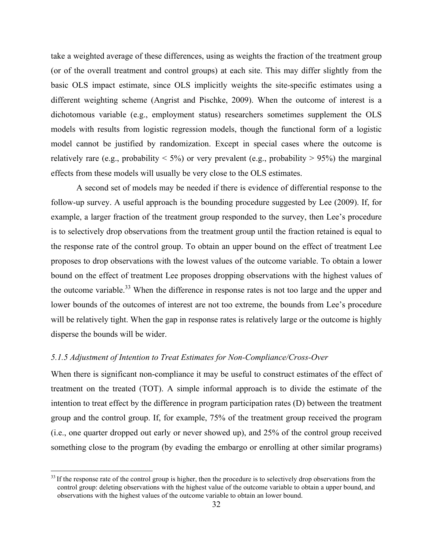take a weighted average of these differences, using as weights the fraction of the treatment group (or of the overall treatment and control groups) at each site. This may differ slightly from the basic OLS impact estimate, since OLS implicitly weights the site-specific estimates using a different weighting scheme (Angrist and Pischke, 2009). When the outcome of interest is a dichotomous variable (e.g., employment status) researchers sometimes supplement the OLS models with results from logistic regression models, though the functional form of a logistic model cannot be justified by randomization. Except in special cases where the outcome is relatively rare (e.g., probability  $\leq 5\%$ ) or very prevalent (e.g., probability  $> 95\%$ ) the marginal effects from these models will usually be very close to the OLS estimates.

A second set of models may be needed if there is evidence of differential response to the follow-up survey. A useful approach is the bounding procedure suggested by Lee (2009). If, for example, a larger fraction of the treatment group responded to the survey, then Lee's procedure is to selectively drop observations from the treatment group until the fraction retained is equal to the response rate of the control group. To obtain an upper bound on the effect of treatment Lee proposes to drop observations with the lowest values of the outcome variable. To obtain a lower bound on the effect of treatment Lee proposes dropping observations with the highest values of the outcome variable.<sup>33</sup> When the difference in response rates is not too large and the upper and lower bounds of the outcomes of interest are not too extreme, the bounds from Lee's procedure will be relatively tight. When the gap in response rates is relatively large or the outcome is highly disperse the bounds will be wider.

# *5.1.5 Adjustment of Intention to Treat Estimates for Non-Compliance/Cross-Over*

When there is significant non-compliance it may be useful to construct estimates of the effect of treatment on the treated (TOT). A simple informal approach is to divide the estimate of the intention to treat effect by the difference in program participation rates (D) between the treatment group and the control group. If, for example, 75% of the treatment group received the program (i.e., one quarter dropped out early or never showed up), and 25% of the control group received something close to the program (by evading the embargo or enrolling at other similar programs)

 $33$  If the response rate of the control group is higher, then the procedure is to selectively drop observations from the control group: deleting observations with the highest value of the outcome variable to obtain a upper bound, and observations with the highest values of the outcome variable to obtain an lower bound.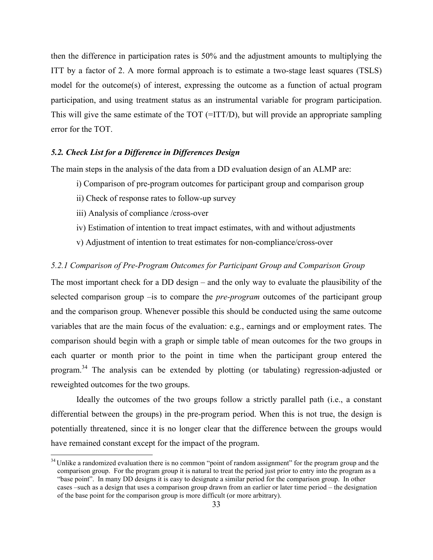then the difference in participation rates is 50% and the adjustment amounts to multiplying the ITT by a factor of 2. A more formal approach is to estimate a two-stage least squares (TSLS) model for the outcome(s) of interest, expressing the outcome as a function of actual program participation, and using treatment status as an instrumental variable for program participation. This will give the same estimate of the TOT (=ITT/D), but will provide an appropriate sampling error for the TOT.

#### *5.2. Check List for a Difference in Differences Design*

The main steps in the analysis of the data from a DD evaluation design of an ALMP are:

- i) Comparison of pre-program outcomes for participant group and comparison group
- ii) Check of response rates to follow-up survey
- iii) Analysis of compliance /cross-over
- iv) Estimation of intention to treat impact estimates, with and without adjustments
- v) Adjustment of intention to treat estimates for non-compliance/cross-over

## *5.2.1 Comparison of Pre-Program Outcomes for Participant Group and Comparison Group*

The most important check for a DD design – and the only way to evaluate the plausibility of the selected comparison group –is to compare the *pre-program* outcomes of the participant group and the comparison group. Whenever possible this should be conducted using the same outcome variables that are the main focus of the evaluation: e.g., earnings and or employment rates. The comparison should begin with a graph or simple table of mean outcomes for the two groups in each quarter or month prior to the point in time when the participant group entered the program.<sup>34</sup> The analysis can be extended by plotting (or tabulating) regression-adjusted or reweighted outcomes for the two groups.

Ideally the outcomes of the two groups follow a strictly parallel path (i.e., a constant differential between the groups) in the pre-program period. When this is not true, the design is potentially threatened, since it is no longer clear that the difference between the groups would have remained constant except for the impact of the program.

 $34$  Unlike a randomized evaluation there is no common "point of random assignment" for the program group and the comparison group. For the program group it is natural to treat the period just prior to entry into the program as a "base point". In many DD designs it is easy to designate a similar period for the comparison group. In other cases –such as a design that uses a comparison group drawn from an earlier or later time period – the designation of the base point for the comparison group is more difficult (or more arbitrary).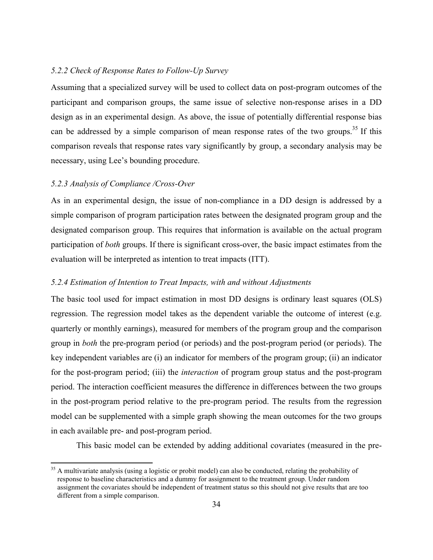## *5.2.2 Check of Response Rates to Follow-Up Survey*

Assuming that a specialized survey will be used to collect data on post-program outcomes of the participant and comparison groups, the same issue of selective non-response arises in a DD design as in an experimental design. As above, the issue of potentially differential response bias can be addressed by a simple comparison of mean response rates of the two groups. <sup>35</sup> If this comparison reveals that response rates vary significantly by group, a secondary analysis may be necessary, using Lee's bounding procedure.

#### *5.2.3 Analysis of Compliance /Cross-Over*

As in an experimental design, the issue of non-compliance in a DD design is addressed by a simple comparison of program participation rates between the designated program group and the designated comparison group. This requires that information is available on the actual program participation of *both* groups. If there is significant cross-over, the basic impact estimates from the evaluation will be interpreted as intention to treat impacts (ITT).

## *5.2.4 Estimation of Intention to Treat Impacts, with and without Adjustments*

The basic tool used for impact estimation in most DD designs is ordinary least squares (OLS) regression. The regression model takes as the dependent variable the outcome of interest (e.g. quarterly or monthly earnings), measured for members of the program group and the comparison group in *both* the pre-program period (or periods) and the post-program period (or periods). The key independent variables are (i) an indicator for members of the program group; (ii) an indicator for the post-program period; (iii) the *interaction* of program group status and the post-program period. The interaction coefficient measures the difference in differences between the two groups in the post-program period relative to the pre-program period. The results from the regression model can be supplemented with a simple graph showing the mean outcomes for the two groups in each available pre- and post-program period.

This basic model can be extended by adding additional covariates (measured in the pre-

<sup>&</sup>lt;sup>35</sup> A multivariate analysis (using a logistic or probit model) can also be conducted, relating the probability of response to baseline characteristics and a dummy for assignment to the treatment group. Under random assignment the covariates should be independent of treatment status so this should not give results that are too different from a simple comparison.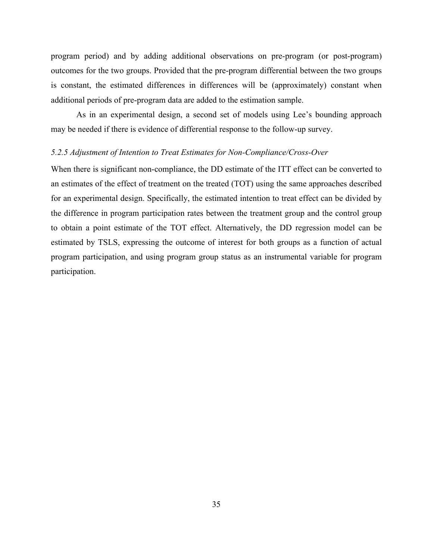program period) and by adding additional observations on pre-program (or post-program) outcomes for the two groups. Provided that the pre-program differential between the two groups is constant, the estimated differences in differences will be (approximately) constant when additional periods of pre-program data are added to the estimation sample.

As in an experimental design, a second set of models using Lee's bounding approach may be needed if there is evidence of differential response to the follow-up survey.

# *5.2.5 Adjustment of Intention to Treat Estimates for Non-Compliance/Cross-Over*

When there is significant non-compliance, the DD estimate of the ITT effect can be converted to an estimates of the effect of treatment on the treated (TOT) using the same approaches described for an experimental design. Specifically, the estimated intention to treat effect can be divided by the difference in program participation rates between the treatment group and the control group to obtain a point estimate of the TOT effect. Alternatively, the DD regression model can be estimated by TSLS, expressing the outcome of interest for both groups as a function of actual program participation, and using program group status as an instrumental variable for program participation.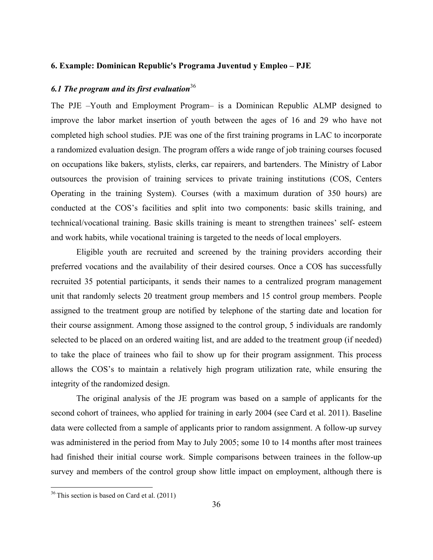#### **6. Example: Dominican Republic's Programa Juventud y Empleo – PJE**

# *6.1 The program and its first evaluation*<sup>36</sup>

The PJE *–*Youth and Employment Program*–* is a Dominican Republic ALMP designed to improve the labor market insertion of youth between the ages of 16 and 29 who have not completed high school studies. PJE was one of the first training programs in LAC to incorporate a randomized evaluation design. The program offers a wide range of job training courses focused on occupations like bakers, stylists, clerks, car repairers, and bartenders. The Ministry of Labor outsources the provision of training services to private training institutions (COS, Centers Operating in the training System). Courses (with a maximum duration of 350 hours) are conducted at the COS's facilities and split into two components: basic skills training, and technical/vocational training. Basic skills training is meant to strengthen trainees' self- esteem and work habits, while vocational training is targeted to the needs of local employers.

Eligible youth are recruited and screened by the training providers according their preferred vocations and the availability of their desired courses. Once a COS has successfully recruited 35 potential participants, it sends their names to a centralized program management unit that randomly selects 20 treatment group members and 15 control group members. People assigned to the treatment group are notified by telephone of the starting date and location for their course assignment. Among those assigned to the control group, 5 individuals are randomly selected to be placed on an ordered waiting list, and are added to the treatment group (if needed) to take the place of trainees who fail to show up for their program assignment. This process allows the COS's to maintain a relatively high program utilization rate, while ensuring the integrity of the randomized design.

The original analysis of the JE program was based on a sample of applicants for the second cohort of trainees, who applied for training in early 2004 (see Card et al. 2011). Baseline data were collected from a sample of applicants prior to random assignment. A follow-up survey was administered in the period from May to July 2005; some 10 to 14 months after most trainees had finished their initial course work. Simple comparisons between trainees in the follow-up survey and members of the control group show little impact on employment, although there is

 $36$  This section is based on Card et al. (2011)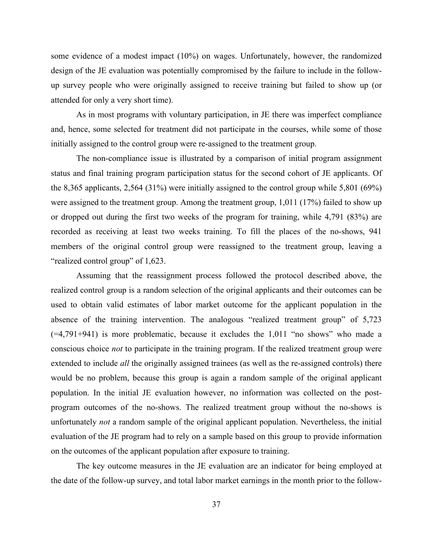some evidence of a modest impact (10%) on wages. Unfortunately, however, the randomized design of the JE evaluation was potentially compromised by the failure to include in the followup survey people who were originally assigned to receive training but failed to show up (or attended for only a very short time).

As in most programs with voluntary participation, in JE there was imperfect compliance and, hence, some selected for treatment did not participate in the courses, while some of those initially assigned to the control group were re-assigned to the treatment group.

The non-compliance issue is illustrated by a comparison of initial program assignment status and final training program participation status for the second cohort of JE applicants. Of the 8,365 applicants, 2,564 (31%) were initially assigned to the control group while 5,801 (69%) were assigned to the treatment group. Among the treatment group, 1,011 (17%) failed to show up or dropped out during the first two weeks of the program for training, while 4,791 (83%) are recorded as receiving at least two weeks training. To fill the places of the no-shows, 941 members of the original control group were reassigned to the treatment group, leaving a "realized control group" of 1,623.

Assuming that the reassignment process followed the protocol described above, the realized control group is a random selection of the original applicants and their outcomes can be used to obtain valid estimates of labor market outcome for the applicant population in the absence of the training intervention. The analogous "realized treatment group" of 5,723  $(=4,791+941)$  is more problematic, because it excludes the 1,011 "no shows" who made a conscious choice *not* to participate in the training program. If the realized treatment group were extended to include *all* the originally assigned trainees (as well as the re-assigned controls) there would be no problem, because this group is again a random sample of the original applicant population. In the initial JE evaluation however, no information was collected on the postprogram outcomes of the no-shows. The realized treatment group without the no-shows is unfortunately *not* a random sample of the original applicant population. Nevertheless, the initial evaluation of the JE program had to rely on a sample based on this group to provide information on the outcomes of the applicant population after exposure to training.

The key outcome measures in the JE evaluation are an indicator for being employed at the date of the follow-up survey, and total labor market earnings in the month prior to the follow-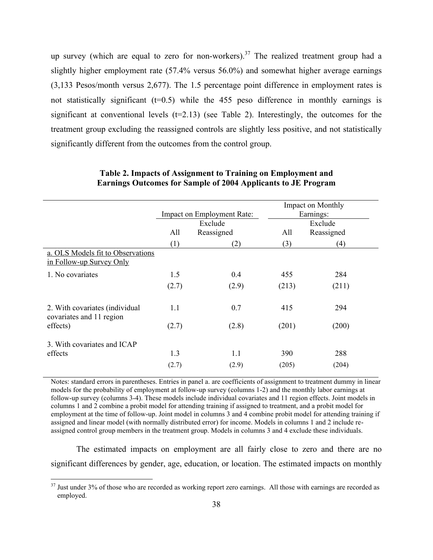up survey (which are equal to zero for non-workers).<sup>37</sup> The realized treatment group had a slightly higher employment rate (57.4% versus 56.0%) and somewhat higher average earnings (3,133 Pesos/month versus 2,677). The 1.5 percentage point difference in employment rates is not statistically significant  $(t=0.5)$  while the 455 peso difference in monthly earnings is significant at conventional levels  $(t=2.13)$  (see Table 2). Interestingly, the outcomes for the treatment group excluding the reassigned controls are slightly less positive, and not statistically significantly different from the outcomes from the control group.

|                                                               |                   | Impact on Employment Rate: |       | Impact on Monthly<br>Earnings: |
|---------------------------------------------------------------|-------------------|----------------------------|-------|--------------------------------|
|                                                               | Exclude           |                            |       | Exclude                        |
|                                                               | All<br>Reassigned |                            | All   | Reassigned                     |
|                                                               | (1)               | (2)                        | (3)   | (4)                            |
| a. OLS Models fit to Observations<br>in Follow-up Survey Only |                   |                            |       |                                |
| 1. No covariates                                              | 1.5               | 0.4                        | 455   | 284                            |
|                                                               | (2.7)             | (2.9)                      | (213) | (211)                          |
| 2. With covariates (individual<br>covariates and 11 region    | 1.1               | 0.7                        | 415   | 294                            |
| effects)                                                      | (2.7)             | (2.8)                      | (201) | (200)                          |
| 3. With covariates and ICAP                                   |                   |                            |       |                                |
| effects                                                       | 1.3               | 1.1                        | 390   | 288                            |
|                                                               | (2.7)             | (2.9)                      | (205) | (204)                          |

# **Table 2. Impacts of Assignment to Training on Employment and Earnings Outcomes for Sample of 2004 Applicants to JE Program**

Notes: standard errors in parentheses. Entries in panel a. are coefficients of assignment to treatment dummy in linear models for the probability of employment at follow-up survey (columns 1-2) and the monthly labor earnings at follow-up survey (columns 3-4). These models include individual covariates and 11 region effects. Joint models in columns 1 and 2 combine a probit model for attending training if assigned to treatment, and a probit model for employment at the time of follow-up. Joint model in columns 3 and 4 combine probit model for attending training if assigned and linear model (with normally distributed error) for income. Models in columns 1 and 2 include reassigned control group members in the treatment group. Models in columns 3 and 4 exclude these individuals.

The estimated impacts on employment are all fairly close to zero and there are no significant differences by gender, age, education, or location. The estimated impacts on monthly

 $37$  Just under  $3\%$  of those who are recorded as working report zero earnings. All those with earnings are recorded as employed.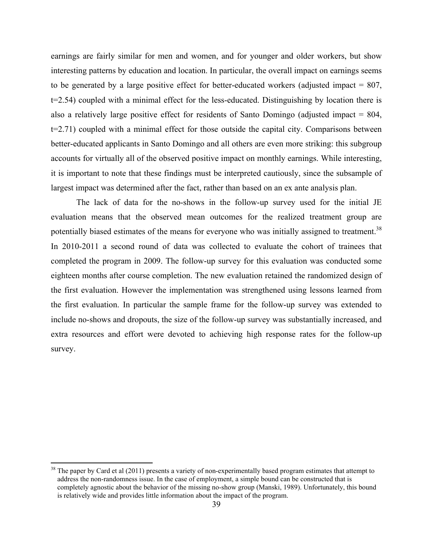earnings are fairly similar for men and women, and for younger and older workers, but show interesting patterns by education and location. In particular, the overall impact on earnings seems to be generated by a large positive effect for better-educated workers (adjusted impact = 807, t=2.54) coupled with a minimal effect for the less-educated. Distinguishing by location there is also a relatively large positive effect for residents of Santo Domingo (adjusted impact = 804, t=2.71) coupled with a minimal effect for those outside the capital city. Comparisons between better-educated applicants in Santo Domingo and all others are even more striking: this subgroup accounts for virtually all of the observed positive impact on monthly earnings. While interesting, it is important to note that these findings must be interpreted cautiously, since the subsample of largest impact was determined after the fact, rather than based on an ex ante analysis plan.

The lack of data for the no-shows in the follow-up survey used for the initial JE evaluation means that the observed mean outcomes for the realized treatment group are potentially biased estimates of the means for everyone who was initially assigned to treatment.<sup>38</sup> In 2010-2011 a second round of data was collected to evaluate the cohort of trainees that completed the program in 2009. The follow-up survey for this evaluation was conducted some eighteen months after course completion. The new evaluation retained the randomized design of the first evaluation. However the implementation was strengthened using lessons learned from the first evaluation. In particular the sample frame for the follow-up survey was extended to include no-shows and dropouts, the size of the follow-up survey was substantially increased, and extra resources and effort were devoted to achieving high response rates for the follow-up survey.

<sup>&</sup>lt;sup>38</sup> The paper by Card et al (2011) presents a variety of non-experimentally based program estimates that attempt to address the non-randomness issue. In the case of employment, a simple bound can be constructed that is completely agnostic about the behavior of the missing no-show group (Manski, 1989). Unfortunately, this bound is relatively wide and provides little information about the impact of the program.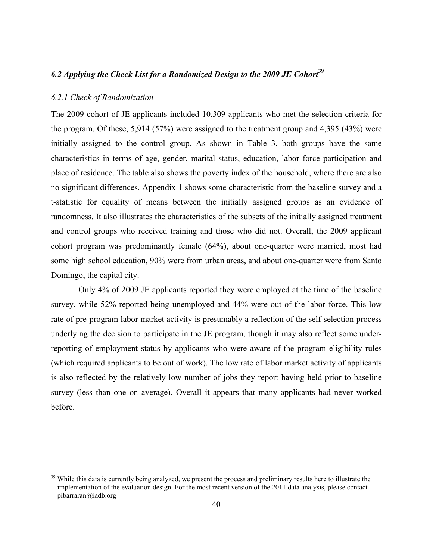# *6.2 Applying the Check List for a Randomized Design to the 2009 JE Cohort* **39**

#### *6.2.1 Check of Randomization*

The 2009 cohort of JE applicants included 10,309 applicants who met the selection criteria for the program. Of these, 5,914 (57%) were assigned to the treatment group and 4,395 (43%) were initially assigned to the control group. As shown in Table 3, both groups have the same characteristics in terms of age, gender, marital status, education, labor force participation and place of residence. The table also shows the poverty index of the household, where there are also no significant differences. Appendix 1 shows some characteristic from the baseline survey and a t-statistic for equality of means between the initially assigned groups as an evidence of randomness. It also illustrates the characteristics of the subsets of the initially assigned treatment and control groups who received training and those who did not. Overall, the 2009 applicant cohort program was predominantly female (64%), about one-quarter were married, most had some high school education, 90% were from urban areas, and about one-quarter were from Santo Domingo, the capital city.

Only 4% of 2009 JE applicants reported they were employed at the time of the baseline survey, while 52% reported being unemployed and 44% were out of the labor force. This low rate of pre-program labor market activity is presumably a reflection of the self-selection process underlying the decision to participate in the JE program, though it may also reflect some underreporting of employment status by applicants who were aware of the program eligibility rules (which required applicants to be out of work). The low rate of labor market activity of applicants is also reflected by the relatively low number of jobs they report having held prior to baseline survey (less than one on average). Overall it appears that many applicants had never worked before.

<sup>&</sup>lt;sup>39</sup> While this data is currently being analyzed, we present the process and preliminary results here to illustrate the implementation of the evaluation design. For the most recent version of the 2011 data analysis, please contact pibarraran@iadb.org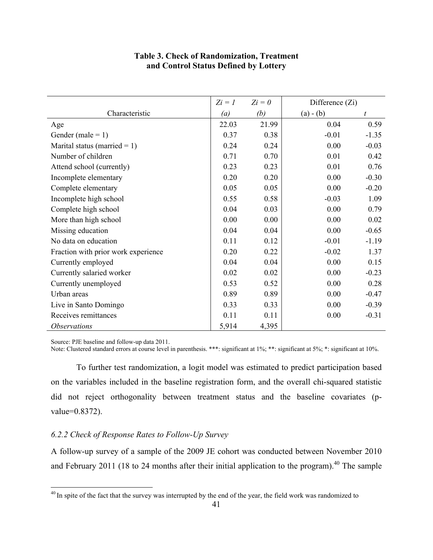# **Table 3. Check of Randomization, Treatment and Control Status Defined by Lottery**

|                                     |       | $Z_i = 0$ | Difference $(Zi)$ |         |
|-------------------------------------|-------|-----------|-------------------|---------|
| Characteristic                      | (a)   | (b)       | $(a) - (b)$       | t       |
| Age                                 | 22.03 | 21.99     | 0.04              | 0.59    |
| Gender (male = $1$ )                | 0.37  | 0.38      | $-0.01$           | $-1.35$ |
| Marital status (married = $1$ )     | 0.24  | 0.24      | 0.00              | $-0.03$ |
| Number of children                  | 0.71  | 0.70      | 0.01              | 0.42    |
| Attend school (currently)           | 0.23  | 0.23      | 0.01              | 0.76    |
| Incomplete elementary               | 0.20  | 0.20      | 0.00              | $-0.30$ |
| Complete elementary                 | 0.05  | 0.05      | 0.00              | $-0.20$ |
| Incomplete high school              | 0.55  | 0.58      | $-0.03$           | 1.09    |
| Complete high school                | 0.04  | 0.03      | 0.00              | 0.79    |
| More than high school               | 0.00  | 0.00      | 0.00              | 0.02    |
| Missing education                   | 0.04  | 0.04      | 0.00              | $-0.65$ |
| No data on education                | 0.11  | 0.12      | $-0.01$           | $-1.19$ |
| Fraction with prior work experience | 0.20  | 0.22      | $-0.02$           | 1.37    |
| Currently employed                  | 0.04  | 0.04      | 0.00              | 0.15    |
| Currently salaried worker           | 0.02  | 0.02      | 0.00              | $-0.23$ |
| Currently unemployed                | 0.53  | 0.52      | 0.00              | 0.28    |
| Urban areas                         | 0.89  | 0.89      | 0.00              | $-0.47$ |
| Live in Santo Domingo               | 0.33  | 0.33      | 0.00              | $-0.39$ |
| Receives remittances                | 0.11  | 0.11      | 0.00              | $-0.31$ |
| <i><b>Observations</b></i>          | 5,914 | 4,395     |                   |         |

Source: PJE baseline and follow-up data 2011.

Note: Clustered standard errors at course level in parenthesis. \*\*\*: significant at 1%; \*\*: significant at 5%; \*: significant at 10%.

To further test randomization, a logit model was estimated to predict participation based on the variables included in the baseline registration form, and the overall chi-squared statistic did not reject orthogonality between treatment status and the baseline covariates (pvalue=0.8372).

# *6.2.2 Check of Response Rates to Follow-Up Survey*

A follow-up survey of a sample of the 2009 JE cohort was conducted between November 2010 and February 2011 (18 to 24 months after their initial application to the program).<sup>40</sup> The sample

<sup>&</sup>lt;sup>40</sup> In spite of the fact that the survey was interrupted by the end of the year, the field work was randomized to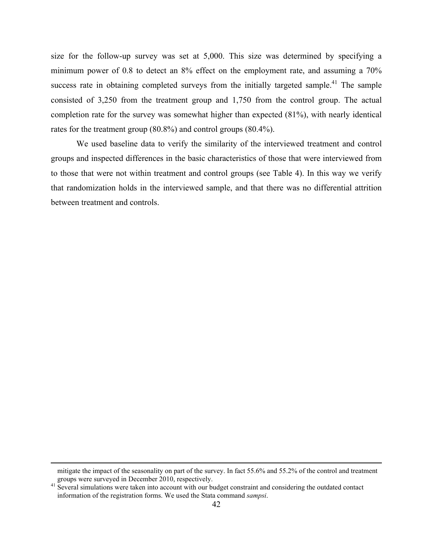size for the follow-up survey was set at 5,000. This size was determined by specifying a minimum power of 0.8 to detect an 8% effect on the employment rate, and assuming a 70% success rate in obtaining completed surveys from the initially targeted sample.<sup>41</sup> The sample consisted of 3,250 from the treatment group and 1,750 from the control group. The actual completion rate for the survey was somewhat higher than expected (81%), with nearly identical rates for the treatment group (80.8%) and control groups (80.4%).

We used baseline data to verify the similarity of the interviewed treatment and control groups and inspected differences in the basic characteristics of those that were interviewed from to those that were not within treatment and control groups (see Table 4). In this way we verify that randomization holds in the interviewed sample, and that there was no differential attrition between treatment and controls.

mitigate the impact of the seasonality on part of the survey. In fact 55.6% and 55.2% of the control and treatment groups were surveyed in December 2010, respectively.<br><sup>41</sup> Several simulations were taken into account with our budget constraint and considering the outdated contact

information of the registration forms. We used the Stata command *sampsi*.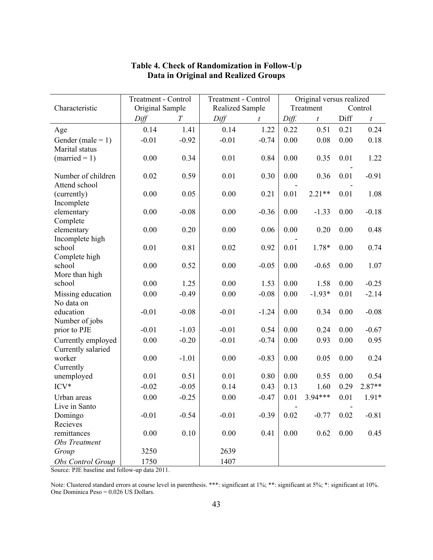|                                     | <b>Treatment - Control</b> |                | Treatment - Control | Original versus realized |       |                  |                      |                  |  |  |
|-------------------------------------|----------------------------|----------------|---------------------|--------------------------|-------|------------------|----------------------|------------------|--|--|
| Characteristic                      | Original Sample            |                |                     | <b>Realized Sample</b>   |       |                  | Treatment<br>Control |                  |  |  |
|                                     | Diff                       | $\overline{T}$ | Diff                | t                        | Diff. | $\boldsymbol{t}$ | Diff                 | $\boldsymbol{t}$ |  |  |
| Age                                 | 0.14                       | 1.41           | 0.14                | 1.22                     | 0.22  | 0.51             | 0.21                 | 0.24             |  |  |
| Gender (male = $1$ )                | $-0.01$                    | $-0.92$        | $-0.01$             | $-0.74$                  | 0.00  | 0.08             | 0.00                 | 0.18             |  |  |
| Marital status                      |                            |                |                     |                          |       |                  |                      |                  |  |  |
| $(married = 1)$                     | 0.00                       | 0.34           | 0.01                | 0.84                     | 0.00  | 0.35             | 0.01                 | 1.22             |  |  |
|                                     |                            |                |                     |                          |       |                  |                      |                  |  |  |
| Number of children<br>Attend school | 0.02                       | 0.59           | 0.01                | 0.30                     | 0.00  | 0.36             | 0.01                 | $-0.91$          |  |  |
| (currently)                         | 0.00                       | 0.05           | 0.00                | 0.21                     | 0.01  | $2.21**$         | 0.01                 | 1.08             |  |  |
| Incomplete                          |                            |                |                     |                          |       |                  |                      |                  |  |  |
| elementary                          | 0.00                       | $-0.08$        | 0.00                | $-0.36$                  | 0.00  | $-1.33$          | 0.00                 | $-0.18$          |  |  |
| Complete                            |                            |                |                     |                          |       |                  |                      |                  |  |  |
| elementary                          | 0.00                       | 0.20           | 0.00                | 0.06                     | 0.00  | 0.20             | 0.00                 | 0.48             |  |  |
| Incomplete high                     |                            |                |                     |                          |       |                  |                      |                  |  |  |
| school                              | 0.01                       | 0.81           | 0.02                | 0.92                     | 0.01  | 1.78*            | 0.00                 | 0.74             |  |  |
| Complete high                       |                            |                |                     |                          |       |                  |                      |                  |  |  |
| school                              | 0.00                       | 0.52           | 0.00                | $-0.05$                  | 0.00  | $-0.65$          | 0.00                 | 1.07             |  |  |
| More than high                      |                            |                |                     |                          |       |                  |                      |                  |  |  |
| school                              | 0.00                       | 1.25           | 0.00                | 1.53                     | 0.00  | 1.58             | 0.00                 | $-0.25$          |  |  |
| Missing education                   | 0.00                       | $-0.49$        | 0.00                | $-0.08$                  | 0.00  | $-1.93*$         | 0.01                 | $-2.14$          |  |  |
| No data on<br>education             | $-0.01$                    | $-0.08$        | $-0.01$             | $-1.24$                  | 0.00  | 0.34             | 0.00                 | $-0.08$          |  |  |
| Number of jobs                      |                            |                |                     |                          |       |                  |                      |                  |  |  |
| prior to PJE                        | $-0.01$                    | $-1.03$        | $-0.01$             | 0.54                     | 0.00  | 0.24             | 0.00                 | $-0.67$          |  |  |
| Currently employed                  | 0.00                       | $-0.20$        | $-0.01$             | $-0.74$                  | 0.00  | 0.93             | 0.00                 | 0.95             |  |  |
| Currently salaried                  |                            |                |                     |                          |       |                  |                      |                  |  |  |
| worker                              | 0.00                       | $-1.01$        | 0.00                | $-0.83$                  | 0.00  | 0.05             | 0.00                 | 0.24             |  |  |
| Currently                           |                            |                |                     |                          |       |                  |                      |                  |  |  |
| unemployed                          | 0.01                       | 0.51           | 0.01                | 0.80                     | 0.00  | 0.55             | 0.00                 | 0.54             |  |  |
| $ICV*$                              | $-0.02$                    | $-0.05$        | 0.14                | 0.43                     | 0.13  | 1.60             | 0.29                 | $2.87**$         |  |  |
| Urban areas                         | 0.00                       | $-0.25$        | 0.00                | $-0.47$                  | 0.01  | 3.94***          | 0.01                 | $1.91*$          |  |  |
| Live in Santo                       |                            |                |                     |                          |       |                  |                      |                  |  |  |
| Domingo                             | $-0.01$                    | $-0.54$        | $-0.01$             | $-0.39$                  | 0.02  | $-0.77$          | 0.02                 | $-0.81$          |  |  |
| Recieves                            |                            |                |                     |                          |       |                  |                      |                  |  |  |
| remittances                         | 0.00                       | 0.10           | 0.00                | 0.41                     | 0.00  | 0.62             | 0.00                 | 0.45             |  |  |
| Obs Treatment                       |                            |                |                     |                          |       |                  |                      |                  |  |  |
| Group                               | 3250                       |                | 2639                |                          |       |                  |                      |                  |  |  |
| Obs Control Group                   | 1750                       |                | 1407                |                          |       |                  |                      |                  |  |  |

# **Table 4. Check of Randomization in Follow-Up Data in Original and Realized Groups**

Source: PJE baseline and follow-up data 2011.

Note: Clustered standard errors at course level in parenthesis. \*\*\*: significant at 1%; \*\*: significant at 5%; \*: significant at 10%. One Dominica Peso = 0.026 US Dollars.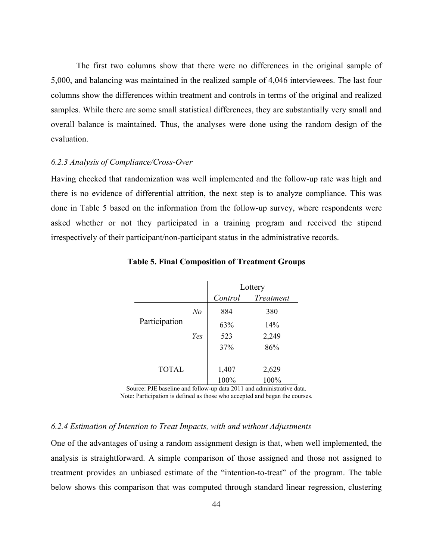The first two columns show that there were no differences in the original sample of 5,000, and balancing was maintained in the realized sample of 4,046 interviewees. The last four columns show the differences within treatment and controls in terms of the original and realized samples. While there are some small statistical differences, they are substantially very small and overall balance is maintained. Thus, the analyses were done using the random design of the evaluation.

#### *6.2.3 Analysis of Compliance/Cross-Over*

Having checked that randomization was well implemented and the follow-up rate was high and there is no evidence of differential attrition, the next step is to analyze compliance. This was done in Table 5 based on the information from the follow-up survey, where respondents were asked whether or not they participated in a training program and received the stipend irrespectively of their participant/non-participant status in the administrative records.

|               |     | Lottery |           |  |  |  |
|---------------|-----|---------|-----------|--|--|--|
|               |     | Control | Treatment |  |  |  |
|               | No  | 884     | 380       |  |  |  |
| Participation |     | 63%     | 14%       |  |  |  |
|               | Yes | 523     | 2,249     |  |  |  |
|               |     | 37%     | 86%       |  |  |  |
| <b>TOTAL</b>  |     | 1,407   | 2,629     |  |  |  |
|               |     | 100%    | 100%      |  |  |  |

**Table 5. Final Composition of Treatment Groups**

Source: PJE baseline and follow-up data 2011 and administrative data. Note: Participation is defined as those who accepted and began the courses.

# *6.2.4 Estimation of Intention to Treat Impacts, with and without Adjustments*

One of the advantages of using a random assignment design is that, when well implemented, the analysis is straightforward. A simple comparison of those assigned and those not assigned to treatment provides an unbiased estimate of the "intention-to-treat" of the program. The table below shows this comparison that was computed through standard linear regression, clustering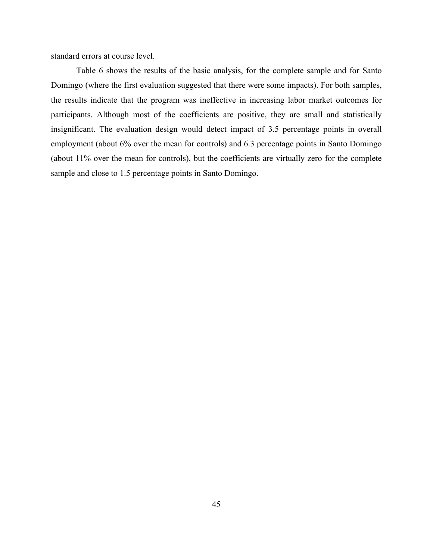standard errors at course level.

Table 6 shows the results of the basic analysis, for the complete sample and for Santo Domingo (where the first evaluation suggested that there were some impacts). For both samples, the results indicate that the program was ineffective in increasing labor market outcomes for participants. Although most of the coefficients are positive, they are small and statistically insignificant. The evaluation design would detect impact of 3.5 percentage points in overall employment (about 6% over the mean for controls) and 6.3 percentage points in Santo Domingo (about 11% over the mean for controls), but the coefficients are virtually zero for the complete sample and close to 1.5 percentage points in Santo Domingo.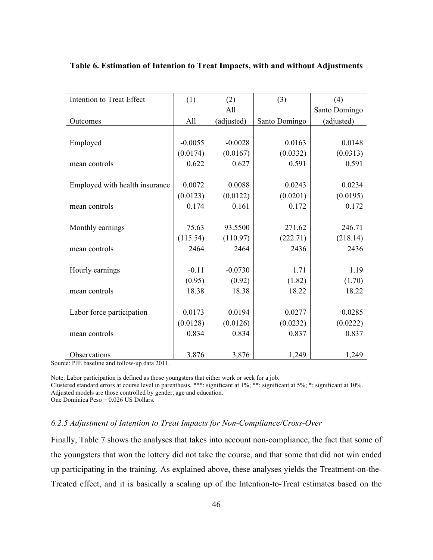| Intention to Treat Effect      | (1)       | (2)        | (3)           | (4)           |
|--------------------------------|-----------|------------|---------------|---------------|
|                                |           | All        |               | Santo Domingo |
| Outcomes                       | All       | (adjusted) | Santo Domingo | (adjusted)    |
|                                |           |            |               |               |
| Employed                       | $-0.0055$ | $-0.0028$  | 0.0163        | 0.0148        |
|                                | (0.0174)  | (0.0167)   | (0.0332)      | (0.0313)      |
| mean controls                  | 0.622     | 0.627      | 0.591         | 0.591         |
|                                |           |            |               |               |
| Employed with health insurance | 0.0072    | 0.0088     | 0.0243        | 0.0234        |
|                                | (0.0123)  | (0.0122)   | (0.0201)      | (0.0195)      |
| mean controls                  | 0.174     | 0.161      | 0.172         | 0.172         |
|                                |           |            |               |               |
| Monthly earnings               | 75.63     | 93.5500    | 271.62        | 246.71        |
|                                | (115.54)  | (110.97)   | (222.71)      | (218.14)      |
| mean controls                  | 2464      | 2464       | 2436          | 2436          |
|                                |           |            |               |               |
| Hourly earnings                | $-0.11$   | $-0.0730$  | 1.71          | 1.19          |
|                                | (0.95)    | (0.92)     | (1.82)        | (1.70)        |
| mean controls                  | 18.38     | 18.38      | 18.22         | 18.22         |
|                                |           |            |               |               |
| Labor force participation      | 0.0173    | 0.0194     | 0.0277        | 0.0285        |
|                                | (0.0128)  | (0.0126)   | (0.0232)      | (0.0222)      |
| mean controls                  | 0.834     | 0.834      | 0.837         | 0.837         |
|                                |           |            |               |               |
| Observations                   | 3,876     | 3,876      | 1,249         | 1,249         |

#### **Table 6. Estimation of Intention to Treat Impacts, with and without Adjustments**

Source: PJE baseline and follow-up data 2011.

Note: Labor participation is defined as those youngsters that either work or seek for a job. Clustered standard errors at course level in parenthesis. \*\*\*: significant at 1%; \*\*: significant at 5%; \*: significant at 10%.

Adjusted models are those controlled by gender, age and education.

One Dominica Peso = 0.026 US Dollars.

## *6.2.5 Adjustment of Intention to Treat Impacts for Non-Compliance/Cross-Over*

Finally, Table 7 shows the analyses that takes into account non-compliance, the fact that some of the youngsters that won the lottery did not take the course, and that some that did not win ended up participating in the training. As explained above, these analyses yields the Treatment-on-the-Treated effect, and it is basically a scaling up of the Intention-to-Treat estimates based on the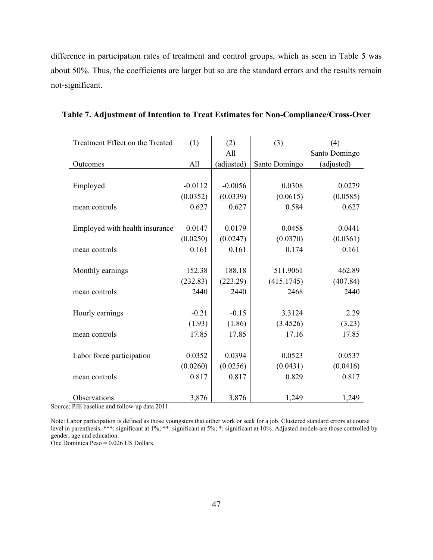difference in participation rates of treatment and control groups, which as seen in Table 5 was about 50%. Thus, the coefficients are larger but so are the standard errors and the results remain not-significant.

| Treatment Effect on the Treated | (1)       | (2)        | (3)           | (4)           |
|---------------------------------|-----------|------------|---------------|---------------|
|                                 |           | All        |               | Santo Domingo |
| Outcomes                        | All       | (adjusted) | Santo Domingo | (adjusted)    |
|                                 |           |            |               |               |
| Employed                        | $-0.0112$ | $-0.0056$  | 0.0308        | 0.0279        |
|                                 | (0.0352)  | (0.0339)   | (0.0615)      | (0.0585)      |
| mean controls                   | 0.627     | 0.627      | 0.584         | 0.627         |
|                                 |           |            |               |               |
| Employed with health insurance  | 0.0147    | 0.0179     | 0.0458        | 0.0441        |
|                                 | (0.0250)  | (0.0247)   | (0.0370)      | (0.0361)      |
| mean controls                   | 0.161     | 0.161      | 0.174         | 0.161         |
|                                 |           |            |               |               |
| Monthly earnings                | 152.38    | 188.18     | 511.9061      | 462.89        |
|                                 | (232.83)  | (223.29)   | (415.1745)    | (407.84)      |
| mean controls                   | 2440      | 2440       | 2468          | 2440          |
|                                 |           |            |               |               |
| Hourly earnings                 | $-0.21$   | $-0.15$    | 3.3124        | 2.29          |
|                                 | (1.93)    | (1.86)     | (3.4526)      | (3.23)        |
| mean controls                   | 17.85     | 17.85      | 17.16         | 17.85         |
|                                 |           |            |               |               |
| Labor force participation       | 0.0352    | 0.0394     | 0.0523        | 0.0537        |
|                                 | (0.0260)  | (0.0256)   | (0.0431)      | (0.0416)      |
| mean controls                   | 0.817     | 0.817      | 0.829         | 0.817         |
|                                 |           |            |               |               |
| Observations                    | 3,876     | 3,876      | 1,249         | 1,249         |

**Table 7. Adjustment of Intention to Treat Estimates for Non-Compliance/Cross-Over**

Source: PJE baseline and follow-up data 2011.

Note: Labor participation is defined as those youngsters that either work or seek for a job. Clustered standard errors at course level in parenthesis. \*\*\*: significant at 1%; \*\*: significant at 5%; \*: significant at 10%. Adjusted models are those controlled by gender, age and education.

One Dominica Peso = 0.026 US Dollars.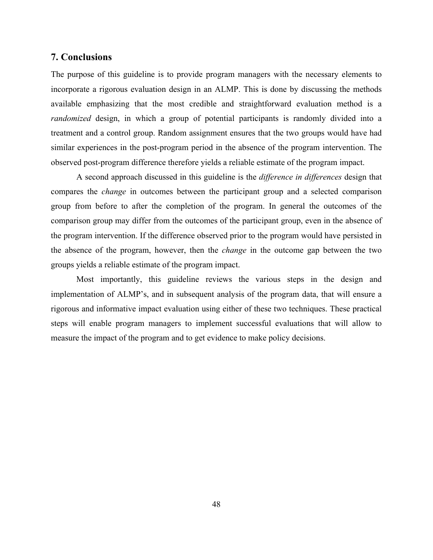# **7. Conclusions**

The purpose of this guideline is to provide program managers with the necessary elements to incorporate a rigorous evaluation design in an ALMP. This is done by discussing the methods available emphasizing that the most credible and straightforward evaluation method is a *randomized* design, in which a group of potential participants is randomly divided into a treatment and a control group. Random assignment ensures that the two groups would have had similar experiences in the post-program period in the absence of the program intervention. The observed post-program difference therefore yields a reliable estimate of the program impact.

A second approach discussed in this guideline is the *difference in differences* design that compares the *change* in outcomes between the participant group and a selected comparison group from before to after the completion of the program. In general the outcomes of the comparison group may differ from the outcomes of the participant group, even in the absence of the program intervention. If the difference observed prior to the program would have persisted in the absence of the program, however, then the *change* in the outcome gap between the two groups yields a reliable estimate of the program impact.

Most importantly, this guideline reviews the various steps in the design and implementation of ALMP's, and in subsequent analysis of the program data, that will ensure a rigorous and informative impact evaluation using either of these two techniques. These practical steps will enable program managers to implement successful evaluations that will allow to measure the impact of the program and to get evidence to make policy decisions.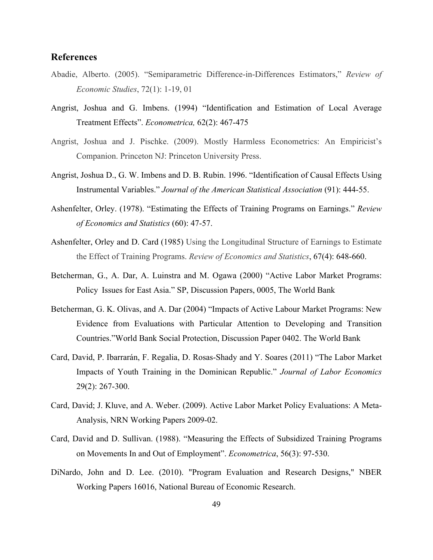# **References**

- Abadie, Alberto. (2005). "Semiparametric Difference-in-Differences Estimators," *Review of Economic Studies*, 72(1): 1-19, 01
- Angrist, Joshua and G. Imbens. (1994) "Identification and Estimation of Local Average Treatment Effects". *Econometrica,* 62(2): 467-475
- Angrist, Joshua and J. Pischke. (2009). Mostly Harmless Econometrics: An Empiricist's Companion. Princeton NJ: Princeton University Press.
- Angrist, Joshua D., G. W. Imbens and D. B. Rubin. 1996. "Identification of Causal Effects Using Instrumental Variables." *Journal of the American Statistical Association* (91): 444-55.
- Ashenfelter, Orley. (1978). "Estimating the Effects of Training Programs on Earnings." *Review of Economics and Statistics* (60): 47-57.
- Ashenfelter, Orley and D. Card (1985) Using the Longitudinal Structure of Earnings to Estimate the Effect of Training Programs. *Review of Economics and Statistics*, 67(4): 648-660.
- Betcherman, G., A. Dar, A. Luinstra and M. Ogawa (2000) "Active Labor Market Programs: Policy Issues for East Asia." SP, Discussion Papers, 0005, The World Bank
- Betcherman, G. K. Olivas, and A. Dar (2004) "Impacts of Active Labour Market Programs: New Evidence from Evaluations with Particular Attention to Developing and Transition Countries."World Bank Social Protection, Discussion Paper 0402. The World Bank
- Card, David, P. Ibarrarán, F. Regalia, D. Rosas-Shady and Y. Soares (2011) "The Labor Market Impacts of Youth Training in the Dominican Republic." *Journal of Labor Economics* 29(2): 267-300.
- Card, David; J. Kluve, and A. Weber. (2009). Active Labor Market Policy Evaluations: A Meta-Analysis, NRN Working Papers 2009-02.
- Card, David and D. Sullivan. (1988). "Measuring the Effects of Subsidized Training Programs on Movements In and Out of Employment". *Econometrica*, 56(3): 97-530.
- DiNardo, John and D. Lee. (2010). "Program Evaluation and Research Designs," NBER Working Papers 16016, National Bureau of Economic Research.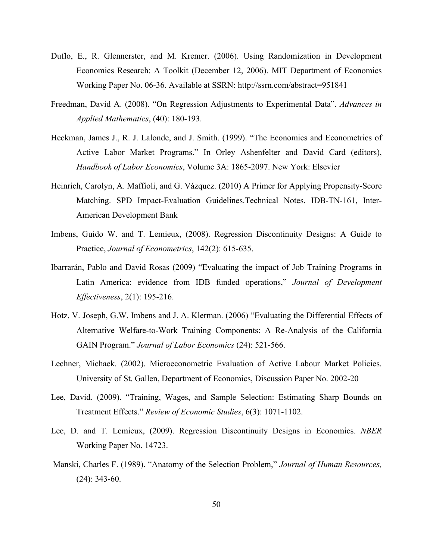- Duflo, E., R. Glennerster, and M. Kremer. (2006). Using Randomization in Development Economics Research: A Toolkit (December 12, 2006). MIT Department of Economics Working Paper No. 06-36. Available at SSRN: http://ssrn.com/abstract=951841
- Freedman, David A. (2008). "On Regression Adjustments to Experimental Data". *Advances in Applied Mathematics*, (40): 180-193.
- Heckman, James J., R. J. Lalonde, and J. Smith. (1999). "The Economics and Econometrics of Active Labor Market Programs." In Orley Ashenfelter and David Card (editors), *Handbook of Labor Economics*, Volume 3A: 1865-2097. New York: Elsevier
- Heinrich, Carolyn, A. Maffioli, and G. Vázquez. (2010) A Primer for Applying Propensity-Score Matching. SPD Impact-Evaluation Guidelines.Technical Notes. IDB-TN-161, Inter-American Development Bank
- Imbens, Guido W. and T. Lemieux, (2008). Regression Discontinuity Designs: A Guide to Practice, *Journal of Econometrics*, 142(2): 615-635.
- Ibarrarán, Pablo and David Rosas (2009) "Evaluating the impact of Job Training Programs in Latin America: evidence from IDB funded operations," *Journal of Development Effectiveness*, 2(1): 195-216.
- Hotz, V. Joseph, G.W. Imbens and J. A. Klerman. (2006) "Evaluating the Differential Effects of Alternative Welfare-to-Work Training Components: A Re-Analysis of the California GAIN Program." *Journal of Labor Economics* (24): 521-566.
- Lechner, Michaek. (2002). Microeconometric Evaluation of Active Labour Market Policies. University of St. Gallen, Department of Economics, Discussion Paper No. 2002-20
- Lee, David. (2009). "Training, Wages, and Sample Selection: Estimating Sharp Bounds on Treatment Effects." *Review of Economic Studies*, 6(3): 1071-1102.
- Lee, D. and T. Lemieux, (2009). Regression Discontinuity Designs in Economics. *NBER*  Working Paper No. 14723.
- Manski, Charles F. (1989). "Anatomy of the Selection Problem," *Journal of Human Resources,* (24): 343-60.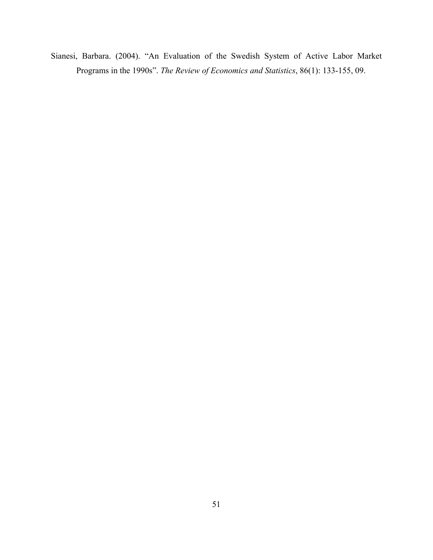Sianesi, Barbara. (2004). "An Evaluation of the Swedish System of Active Labor Market Programs in the 1990s". *The Review of Economics and Statistics*, 86(1): 133-155, 09.